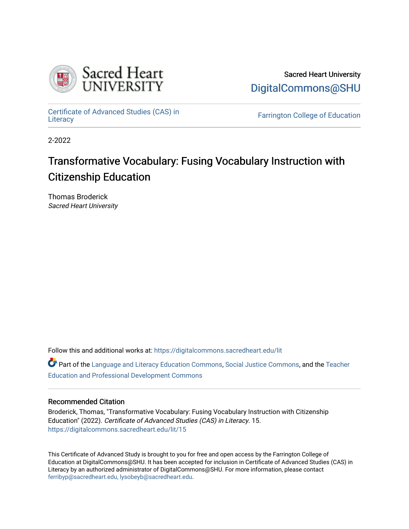

Sacred Heart University [DigitalCommons@SHU](https://digitalcommons.sacredheart.edu/) 

[Certificate of Advanced Studies \(CAS\) in](https://digitalcommons.sacredheart.edu/lit) Certificate of Advanced Studies (CAS) in Extendion Farrington College of Education [Literacy](https://digitalcommons.sacredheart.edu/lit)

2-2022

# Transformative Vocabulary: Fusing Vocabulary Instruction with Citizenship Education

Thomas Broderick Sacred Heart University

Follow this and additional works at: [https://digitalcommons.sacredheart.edu/lit](https://digitalcommons.sacredheart.edu/lit?utm_source=digitalcommons.sacredheart.edu%2Flit%2F15&utm_medium=PDF&utm_campaign=PDFCoverPages)

Part of the [Language and Literacy Education Commons,](http://network.bepress.com/hgg/discipline/1380?utm_source=digitalcommons.sacredheart.edu%2Flit%2F15&utm_medium=PDF&utm_campaign=PDFCoverPages) [Social Justice Commons](http://network.bepress.com/hgg/discipline/1432?utm_source=digitalcommons.sacredheart.edu%2Flit%2F15&utm_medium=PDF&utm_campaign=PDFCoverPages), and the [Teacher](http://network.bepress.com/hgg/discipline/803?utm_source=digitalcommons.sacredheart.edu%2Flit%2F15&utm_medium=PDF&utm_campaign=PDFCoverPages)  [Education and Professional Development Commons](http://network.bepress.com/hgg/discipline/803?utm_source=digitalcommons.sacredheart.edu%2Flit%2F15&utm_medium=PDF&utm_campaign=PDFCoverPages)

# Recommended Citation

Broderick, Thomas, "Transformative Vocabulary: Fusing Vocabulary Instruction with Citizenship Education" (2022). Certificate of Advanced Studies (CAS) in Literacy. 15. [https://digitalcommons.sacredheart.edu/lit/15](https://digitalcommons.sacredheart.edu/lit/15?utm_source=digitalcommons.sacredheart.edu%2Flit%2F15&utm_medium=PDF&utm_campaign=PDFCoverPages) 

This Certificate of Advanced Study is brought to you for free and open access by the Farrington College of Education at DigitalCommons@SHU. It has been accepted for inclusion in Certificate of Advanced Studies (CAS) in Literacy by an authorized administrator of DigitalCommons@SHU. For more information, please contact [ferribyp@sacredheart.edu, lysobeyb@sacredheart.edu.](mailto:ferribyp@sacredheart.edu,%20lysobeyb@sacredheart.edu)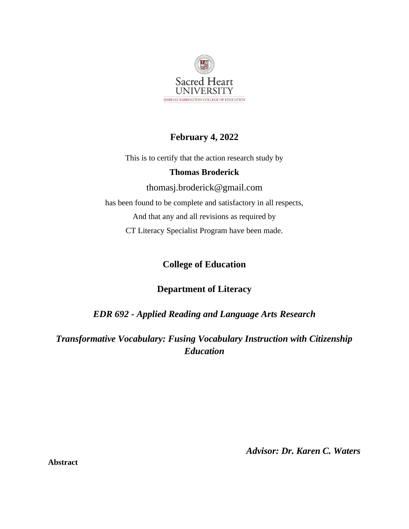

# **February 4, 2022**

This is to certify that the action research study by

# **Thomas Broderick**

[thomasj.broderick@gmail.com](mailto:thomasj.broderick@gmail.com) has been found to be complete and satisfactory in all respects, And that any and all revisions as required by CT Literacy Specialist Program have been made.

# **College of Education**

# **Department of Literacy**

*EDR 692 - Applied Reading and Language Arts Research*

*Transformative Vocabulary: Fusing Vocabulary Instruction with Citizenship Education*

*Advisor: Dr. Karen C. Waters* 

**Abstract**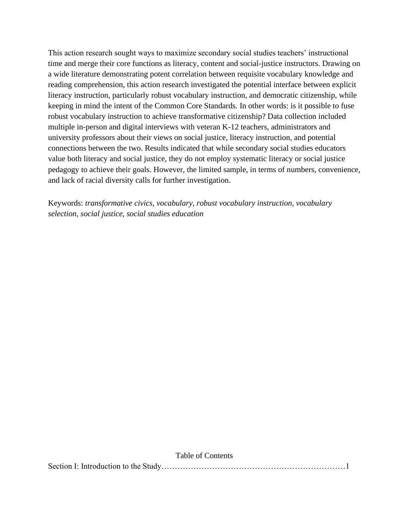This action research sought ways to maximize secondary social studies teachers' instructional time and merge their core functions as literacy, content and social-justice instructors. Drawing on a wide literature demonstrating potent correlation between requisite vocabulary knowledge and reading comprehension, this action research investigated the potential interface between explicit literacy instruction, particularly robust vocabulary instruction, and democratic citizenship, while keeping in mind the intent of the Common Core Standards. In other words: is it possible to fuse robust vocabulary instruction to achieve transformative citizenship? Data collection included multiple in-person and digital interviews with veteran K-12 teachers, administrators and university professors about their views on social justice, literacy instruction, and potential connections between the two. Results indicated that while secondary social studies educators value both literacy and social justice, they do not employ systematic literacy or social justice pedagogy to achieve their goals. However, the limited sample, in terms of numbers, convenience, and lack of racial diversity calls for further investigation.

Keywords: *transformative civics, vocabulary, robust vocabulary instruction, vocabulary selection, social justice, social studies education*

| Table of Contents |  |
|-------------------|--|
|                   |  |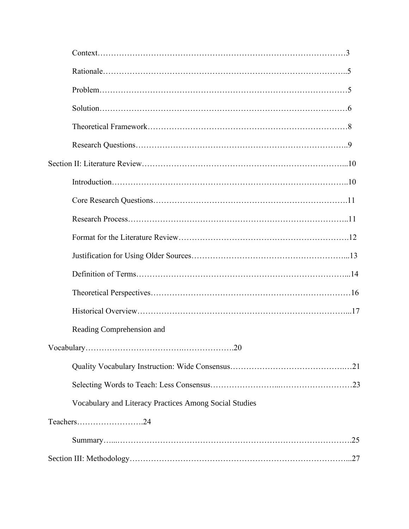| Reading Comprehension and                              |
|--------------------------------------------------------|
|                                                        |
|                                                        |
|                                                        |
| Vocabulary and Literacy Practices Among Social Studies |
| Teachers24                                             |
|                                                        |
|                                                        |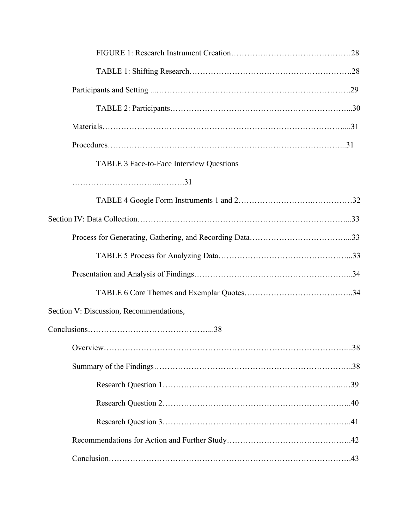| <b>TABLE 3 Face-to-Face Interview Questions</b> |  |
|-------------------------------------------------|--|
|                                                 |  |
|                                                 |  |
|                                                 |  |
|                                                 |  |
|                                                 |  |
|                                                 |  |
|                                                 |  |
| Section V: Discussion, Recommendations,         |  |
| $Conclusions. \dots 1000$                       |  |
|                                                 |  |
|                                                 |  |
|                                                 |  |
|                                                 |  |
|                                                 |  |
|                                                 |  |
|                                                 |  |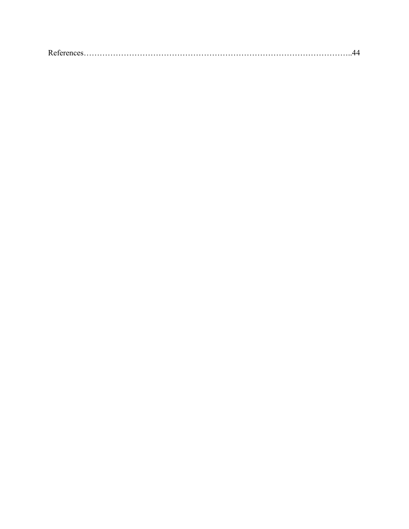|--|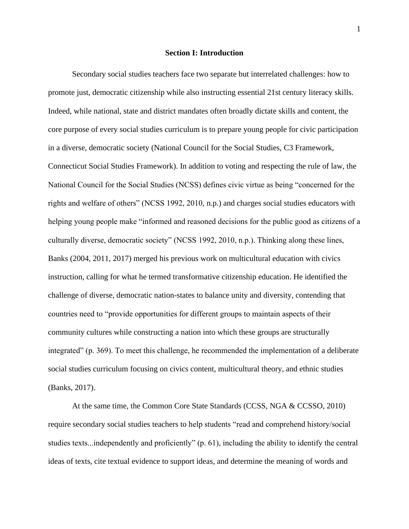#### **Section I: Introduction**

Secondary social studies teachers face two separate but interrelated challenges: how to promote just, democratic citizenship while also instructing essential 21st century literacy skills. Indeed, while national, state and district mandates often broadly dictate skills and content, the core purpose of every social studies curriculum is to prepare young people for civic participation in a diverse, democratic society (National Council for the Social Studies, C3 Framework, Connecticut Social Studies Framework). In addition to voting and respecting the rule of law, the National Council for the Social Studies (NCSS) defines civic virtue as being "concerned for the rights and welfare of others" (NCSS 1992, 2010, n.p.) and charges social studies educators with helping young people make "informed and reasoned decisions for the public good as citizens of a culturally diverse, democratic society" (NCSS 1992, 2010, n.p.). Thinking along these lines, Banks (2004, 2011, 2017) merged his previous work on multicultural education with civics instruction, calling for what he termed transformative citizenship education. He identified the challenge of diverse, democratic nation-states to balance unity and diversity, contending that countries need to "provide opportunities for different groups to maintain aspects of their community cultures while constructing a nation into which these groups are structurally integrated" (p. 369). To meet this challenge, he recommended the implementation of a deliberate social studies curriculum focusing on civics content, multicultural theory, and ethnic studies (Banks, 2017).

At the same time, the Common Core State Standards (CCSS, NGA & CCSSO, 2010) require secondary social studies teachers to help students "read and comprehend history/social studies texts...independently and proficiently" (p. 61), including the ability to identify the central ideas of texts, cite textual evidence to support ideas, and determine the meaning of words and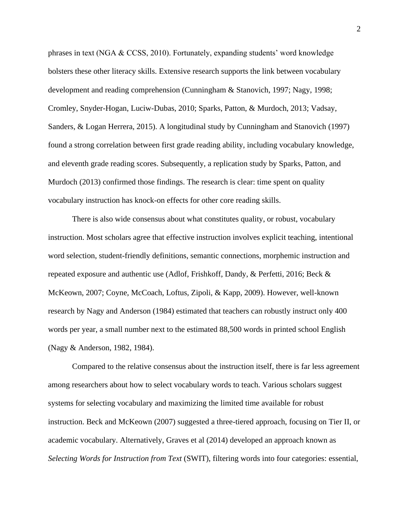phrases in text (NGA & CCSS, 2010). Fortunately, expanding students' word knowledge bolsters these other literacy skills. Extensive research supports the link between vocabulary development and reading comprehension (Cunningham & Stanovich, 1997; Nagy, 1998; Cromley, Snyder-Hogan, Luciw-Dubas, 2010; Sparks, Patton, & Murdoch, 2013; Vadsay, Sanders, & Logan Herrera, 2015). A longitudinal study by Cunningham and Stanovich (1997) found a strong correlation between first grade reading ability, including vocabulary knowledge, and eleventh grade reading scores. Subsequently, a replication study by Sparks, Patton, and Murdoch (2013) confirmed those findings. The research is clear: time spent on quality vocabulary instruction has knock-on effects for other core reading skills.

There is also wide consensus about what constitutes quality, or robust, vocabulary instruction. Most scholars agree that effective instruction involves explicit teaching, intentional word selection, student-friendly definitions, semantic connections, morphemic instruction and repeated exposure and authentic use (Adlof, Frishkoff, Dandy, & Perfetti, 2016; Beck & McKeown, 2007; Coyne, McCoach, Loftus, Zipoli, & Kapp, 2009). However, well-known research by Nagy and Anderson (1984) estimated that teachers can robustly instruct only 400 words per year, a small number next to the estimated 88,500 words in printed school English (Nagy & Anderson, 1982, 1984).

Compared to the relative consensus about the instruction itself, there is far less agreement among researchers about how to select vocabulary words to teach. Various scholars suggest systems for selecting vocabulary and maximizing the limited time available for robust instruction. Beck and McKeown (2007) suggested a three-tiered approach, focusing on Tier II, or academic vocabulary. Alternatively, Graves et al (2014) developed an approach known as *Selecting Words for Instruction from Text* (SWIT), filtering words into four categories: essential,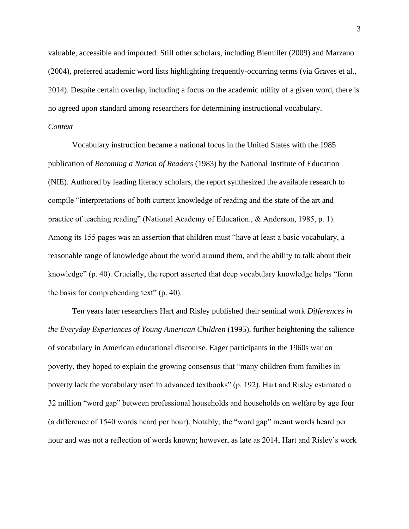valuable, accessible and imported. Still other scholars, including Biemiller (2009) and Marzano (2004), preferred academic word lists highlighting frequently-occurring terms (via Graves et al., 2014). Despite certain overlap, including a focus on the academic utility of a given word, there is no agreed upon standard among researchers for determining instructional vocabulary. *Context*

Vocabulary instruction became a national focus in the United States with the 1985 publication of *Becoming a Nation of Readers* (1983) by the National Institute of Education (NIE). Authored by leading literacy scholars, the report synthesized the available research to compile "interpretations of both current knowledge of reading and the state of the art and practice of teaching reading" (National Academy of Education., & Anderson, 1985, p. 1). Among its 155 pages was an assertion that children must "have at least a basic vocabulary, a reasonable range of knowledge about the world around them, and the ability to talk about their knowledge" (p. 40). Crucially, the report asserted that deep vocabulary knowledge helps "form the basis for comprehending text" (p. 40).

Ten years later researchers Hart and Risley published their seminal work *Differences in the Everyday Experiences of Young American Children* (1995), further heightening the salience of vocabulary in American educational discourse. Eager participants in the 1960s war on poverty, they hoped to explain the growing consensus that "many children from families in poverty lack the vocabulary used in advanced textbooks" (p. 192). Hart and Risley estimated a 32 million "word gap" between professional households and households on welfare by age four (a difference of 1540 words heard per hour). Notably, the "word gap" meant words heard per hour and was not a reflection of words known; however, as late as 2014, Hart and Risley's work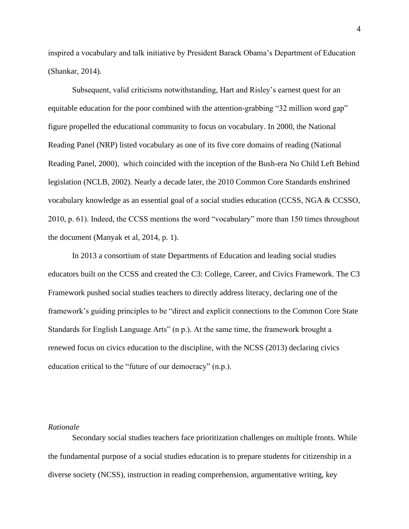inspired a vocabulary and talk initiative by President Barack Obama's Department of Education (Shankar, 2014).

Subsequent, valid criticisms notwithstanding, Hart and Risley's earnest quest for an equitable education for the poor combined with the attention-grabbing "32 million word gap" figure propelled the educational community to focus on vocabulary. In 2000, the National Reading Panel (NRP) listed vocabulary as one of its five core domains of reading (National Reading Panel, 2000), which coincided with the inception of the Bush-era No Child Left Behind legislation (NCLB, 2002). Nearly a decade later, the 2010 Common Core Standards enshrined vocabulary knowledge as an essential goal of a social studies education (CCSS, NGA & CCSSO, 2010, p. 61). Indeed, the CCSS mentions the word "vocabulary" more than 150 times throughout the document (Manyak et al, 2014, p. 1).

In 2013 a consortium of state Departments of Education and leading social studies educators built on the CCSS and created the C3: College, Career, and Civics Framework. The C3 Framework pushed social studies teachers to directly address literacy, declaring one of the framework's guiding principles to be "direct and explicit connections to the Common Core State Standards for English Language Arts" (n p.). At the same time, the framework brought a renewed focus on civics education to the discipline, with the NCSS (2013) declaring civics education critical to the "future of our democracy" (n.p.).

# *Rationale*

Secondary social studies teachers face prioritization challenges on multiple fronts. While the fundamental purpose of a social studies education is to prepare students for citizenship in a diverse society (NCSS), instruction in reading comprehension, argumentative writing, key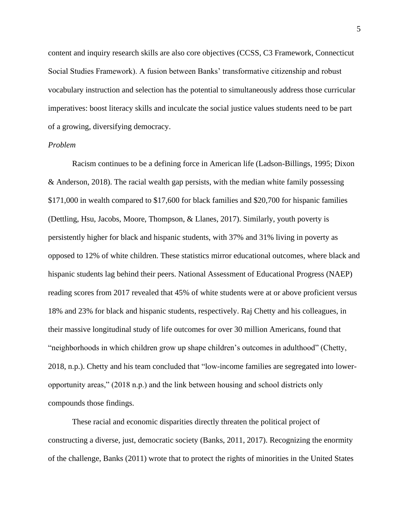content and inquiry research skills are also core objectives (CCSS, C3 Framework, Connecticut Social Studies Framework). A fusion between Banks' transformative citizenship and robust vocabulary instruction and selection has the potential to simultaneously address those curricular imperatives: boost literacy skills and inculcate the social justice values students need to be part of a growing, diversifying democracy.

### *Problem*

Racism continues to be a defining force in American life (Ladson-Billings, 1995; Dixon & Anderson, 2018). The racial wealth gap persists, with the median white family possessing \$171,000 in wealth compared to \$17,600 for black families and \$20,700 for hispanic families (Dettling, Hsu, Jacobs, Moore, Thompson, & Llanes, 2017). Similarly, youth poverty is persistently higher for black and hispanic students, with 37% and 31% living in poverty as opposed to 12% of white children. These statistics mirror educational outcomes, where black and hispanic students lag behind their peers. National Assessment of Educational Progress (NAEP) reading scores from 2017 revealed that 45% of white students were at or above proficient versus 18% and 23% for black and hispanic students, respectively. Raj Chetty and his colleagues, in their massive longitudinal study of life outcomes for over 30 million Americans, found that "neighborhoods in which children grow up shape children's outcomes in adulthood" (Chetty, 2018, n.p.). Chetty and his team concluded that "low-income families are segregated into loweropportunity areas," (2018 n.p.) and the link between housing and school districts only compounds those findings.

These racial and economic disparities directly threaten the political project of constructing a diverse, just, democratic society (Banks, 2011, 2017). Recognizing the enormity of the challenge, Banks (2011) wrote that to protect the rights of minorities in the United States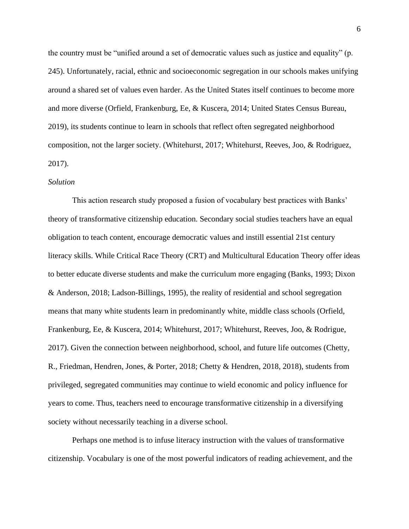the country must be "unified around a set of democratic values such as justice and equality" (p. 245). Unfortunately, racial, ethnic and socioeconomic segregation in our schools makes unifying around a shared set of values even harder. As the United States itself continues to become more and more diverse (Orfield, Frankenburg, Ee, & Kuscera, 2014; United States Census Bureau, 2019), its students continue to learn in schools that reflect often segregated neighborhood composition, not the larger society. (Whitehurst, 2017; Whitehurst, Reeves, Joo, & Rodriguez, 2017).

#### *Solution*

This action research study proposed a fusion of vocabulary best practices with Banks' theory of transformative citizenship education. Secondary social studies teachers have an equal obligation to teach content, encourage democratic values and instill essential 21st century literacy skills. While Critical Race Theory (CRT) and Multicultural Education Theory offer ideas to better educate diverse students and make the curriculum more engaging (Banks, 1993; Dixon & Anderson, 2018; Ladson-Billings, 1995), the reality of residential and school segregation means that many white students learn in predominantly white, middle class schools (Orfield, Frankenburg, Ee, & Kuscera, 2014; Whitehurst, 2017; Whitehurst, Reeves, Joo, & Rodrigue, 2017). Given the connection between neighborhood, school, and future life outcomes (Chetty, R., Friedman, Hendren, Jones, & Porter, 2018; Chetty & Hendren, 2018, 2018), students from privileged, segregated communities may continue to wield economic and policy influence for years to come. Thus, teachers need to encourage transformative citizenship in a diversifying society without necessarily teaching in a diverse school.

Perhaps one method is to infuse literacy instruction with the values of transformative citizenship. Vocabulary is one of the most powerful indicators of reading achievement, and the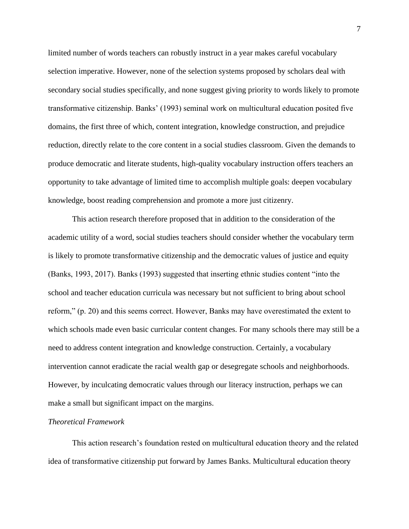limited number of words teachers can robustly instruct in a year makes careful vocabulary selection imperative. However, none of the selection systems proposed by scholars deal with secondary social studies specifically, and none suggest giving priority to words likely to promote transformative citizenship. Banks' (1993) seminal work on multicultural education posited five domains, the first three of which, content integration, knowledge construction, and prejudice reduction, directly relate to the core content in a social studies classroom. Given the demands to produce democratic and literate students, high-quality vocabulary instruction offers teachers an opportunity to take advantage of limited time to accomplish multiple goals: deepen vocabulary knowledge, boost reading comprehension and promote a more just citizenry.

This action research therefore proposed that in addition to the consideration of the academic utility of a word, social studies teachers should consider whether the vocabulary term is likely to promote transformative citizenship and the democratic values of justice and equity (Banks, 1993, 2017). Banks (1993) suggested that inserting ethnic studies content "into the school and teacher education curricula was necessary but not sufficient to bring about school reform," (p. 20) and this seems correct. However, Banks may have overestimated the extent to which schools made even basic curricular content changes. For many schools there may still be a need to address content integration and knowledge construction. Certainly, a vocabulary intervention cannot eradicate the racial wealth gap or desegregate schools and neighborhoods. However, by inculcating democratic values through our literacy instruction, perhaps we can make a small but significant impact on the margins.

# *Theoretical Framework*

This action research's foundation rested on multicultural education theory and the related idea of transformative citizenship put forward by James Banks. Multicultural education theory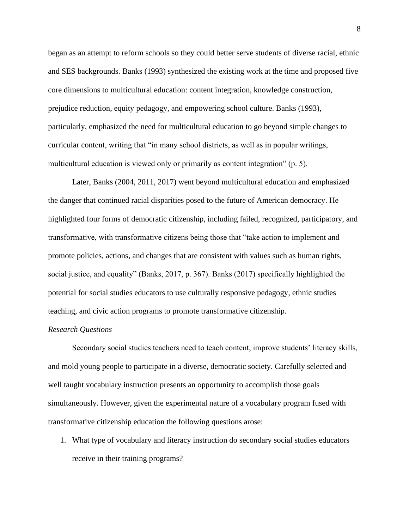began as an attempt to reform schools so they could better serve students of diverse racial, ethnic and SES backgrounds. Banks (1993) synthesized the existing work at the time and proposed five core dimensions to multicultural education: content integration, knowledge construction, prejudice reduction, equity pedagogy, and empowering school culture. Banks (1993), particularly, emphasized the need for multicultural education to go beyond simple changes to curricular content, writing that "in many school districts, as well as in popular writings, multicultural education is viewed only or primarily as content integration" (p. 5).

Later, Banks (2004, 2011, 2017) went beyond multicultural education and emphasized the danger that continued racial disparities posed to the future of American democracy. He highlighted four forms of democratic citizenship, including failed, recognized, participatory, and transformative, with transformative citizens being those that "take action to implement and promote policies, actions, and changes that are consistent with values such as human rights, social justice, and equality" (Banks, 2017, p. 367). Banks (2017) specifically highlighted the potential for social studies educators to use culturally responsive pedagogy, ethnic studies teaching, and civic action programs to promote transformative citizenship.

# *Research Questions*

Secondary social studies teachers need to teach content, improve students' literacy skills, and mold young people to participate in a diverse, democratic society. Carefully selected and well taught vocabulary instruction presents an opportunity to accomplish those goals simultaneously. However, given the experimental nature of a vocabulary program fused with transformative citizenship education the following questions arose:

1. What type of vocabulary and literacy instruction do secondary social studies educators receive in their training programs?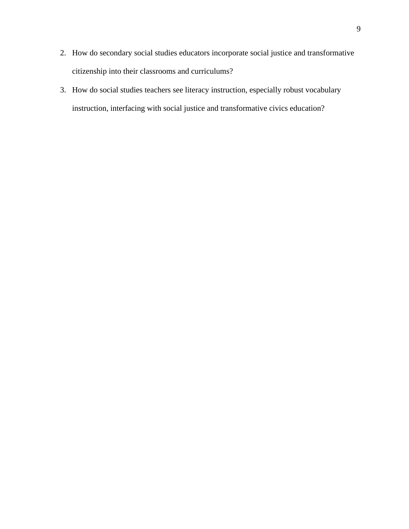- 2. How do secondary social studies educators incorporate social justice and transformative citizenship into their classrooms and curriculums?
- 3. How do social studies teachers see literacy instruction, especially robust vocabulary instruction, interfacing with social justice and transformative civics education?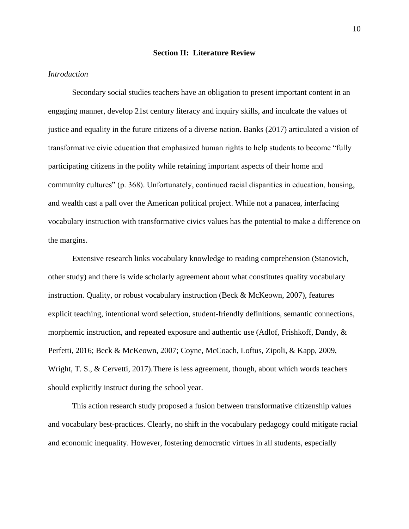#### **Section II: Literature Review**

# *Introduction*

Secondary social studies teachers have an obligation to present important content in an engaging manner, develop 21st century literacy and inquiry skills, and inculcate the values of justice and equality in the future citizens of a diverse nation. Banks (2017) articulated a vision of transformative civic education that emphasized human rights to help students to become "fully participating citizens in the polity while retaining important aspects of their home and community cultures" (p. 368). Unfortunately, continued racial disparities in education, housing, and wealth cast a pall over the American political project. While not a panacea, interfacing vocabulary instruction with transformative civics values has the potential to make a difference on the margins.

Extensive research links vocabulary knowledge to reading comprehension (Stanovich, other study) and there is wide scholarly agreement about what constitutes quality vocabulary instruction. Quality, or robust vocabulary instruction (Beck & McKeown, 2007), features explicit teaching, intentional word selection, student-friendly definitions, semantic connections, morphemic instruction, and repeated exposure and authentic use (Adlof, Frishkoff, Dandy, & Perfetti, 2016; Beck & McKeown, 2007; Coyne, McCoach, Loftus, Zipoli, & Kapp, 2009, Wright, T. S., & Cervetti, 2017). There is less agreement, though, about which words teachers should explicitly instruct during the school year.

This action research study proposed a fusion between transformative citizenship values and vocabulary best-practices. Clearly, no shift in the vocabulary pedagogy could mitigate racial and economic inequality. However, fostering democratic virtues in all students, especially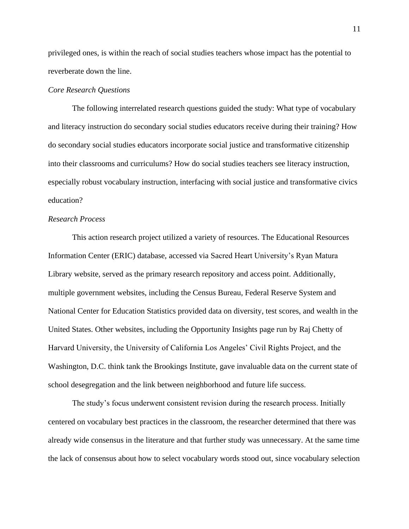privileged ones, is within the reach of social studies teachers whose impact has the potential to reverberate down the line.

#### *Core Research Questions*

The following interrelated research questions guided the study: What type of vocabulary and literacy instruction do secondary social studies educators receive during their training? How do secondary social studies educators incorporate social justice and transformative citizenship into their classrooms and curriculums? How do social studies teachers see literacy instruction, especially robust vocabulary instruction, interfacing with social justice and transformative civics education?

# *Research Process*

This action research project utilized a variety of resources. The Educational Resources Information Center (ERIC) database, accessed via Sacred Heart University's Ryan Matura Library website, served as the primary research repository and access point. Additionally, multiple government websites, including the Census Bureau, Federal Reserve System and National Center for Education Statistics provided data on diversity, test scores, and wealth in the United States. Other websites, including the Opportunity Insights page run by Raj Chetty of Harvard University, the University of California Los Angeles' Civil Rights Project, and the Washington, D.C. think tank the Brookings Institute, gave invaluable data on the current state of school desegregation and the link between neighborhood and future life success.

The study's focus underwent consistent revision during the research process. Initially centered on vocabulary best practices in the classroom, the researcher determined that there was already wide consensus in the literature and that further study was unnecessary. At the same time the lack of consensus about how to select vocabulary words stood out, since vocabulary selection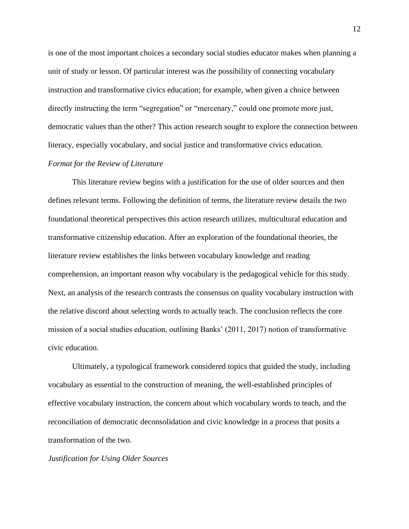is one of the most important choices a secondary social studies educator makes when planning a unit of study or lesson. Of particular interest was the possibility of connecting vocabulary instruction and transformative civics education; for example, when given a choice between directly instructing the term "segregation" or "mercenary," could one promote more just, democratic values than the other? This action research sought to explore the connection between literacy, especially vocabulary, and social justice and transformative civics education.

# *Format for the Review of Literature*

This literature review begins with a justification for the use of older sources and then defines relevant terms. Following the definition of terms, the literature review details the two foundational theoretical perspectives this action research utilizes, multicultural education and transformative citizenship education. After an exploration of the foundational theories, the literature review establishes the links between vocabulary knowledge and reading comprehension, an important reason why vocabulary is the pedagogical vehicle for this study. Next, an analysis of the research contrasts the consensus on quality vocabulary instruction with the relative discord about selecting words to actually teach. The conclusion reflects the core mission of a social studies education, outlining Banks' (2011, 2017) notion of transformative civic education.

Ultimately, a typological framework considered topics that guided the study, including vocabulary as essential to the construction of meaning, the well-established principles of effective vocabulary instruction, the concern about which vocabulary words to teach, and the reconciliation of democratic deconsolidation and civic knowledge in a process that posits a transformation of the two.

# *Justification for Using Older Sources*

12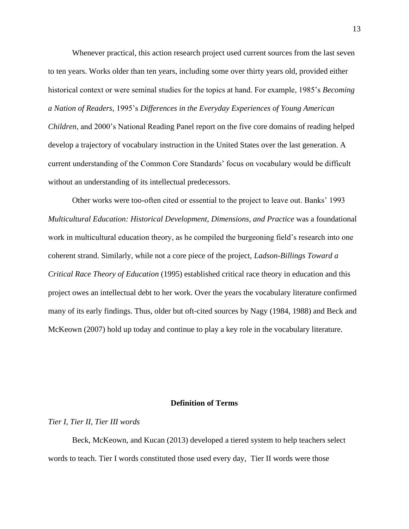Whenever practical, this action research project used current sources from the last seven to ten years. Works older than ten years, including some over thirty years old, provided either historical context or were seminal studies for the topics at hand. For example, 1985's *Becoming a Nation of Readers,* 1995's *Differences in the Everyday Experiences of Young American Children*, and 2000's National Reading Panel report on the five core domains of reading helped develop a trajectory of vocabulary instruction in the United States over the last generation. A current understanding of the Common Core Standards' focus on vocabulary would be difficult without an understanding of its intellectual predecessors.

Other works were too-often cited or essential to the project to leave out. Banks' 1993 *Multicultural Education: Historical Development, Dimensions, and Practice* was a foundational work in multicultural education theory, as he compiled the burgeoning field's research into one coherent strand. Similarly, while not a core piece of the project, *Ladson-Billings Toward a Critical Race Theory of Education* (1995) established critical race theory in education and this project owes an intellectual debt to her work. Over the years the vocabulary literature confirmed many of its early findings. Thus, older but oft-cited sources by Nagy (1984, 1988) and Beck and McKeown (2007) hold up today and continue to play a key role in the vocabulary literature.

#### **Definition of Terms**

#### *Tier I, Tier II, Tier III words*

Beck, McKeown, and Kucan (2013) developed a tiered system to help teachers select words to teach. Tier I words constituted those used every day, Tier II words were those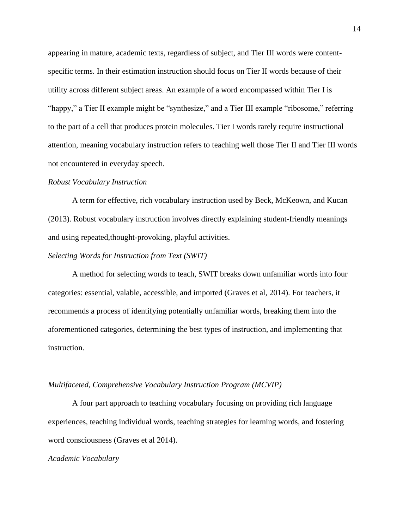appearing in mature, academic texts, regardless of subject, and Tier III words were contentspecific terms. In their estimation instruction should focus on Tier II words because of their utility across different subject areas. An example of a word encompassed within Tier I is "happy," a Tier II example might be "synthesize," and a Tier III example "ribosome," referring to the part of a cell that produces protein molecules. Tier I words rarely require instructional attention, meaning vocabulary instruction refers to teaching well those Tier II and Tier III words not encountered in everyday speech.

#### *Robust Vocabulary Instruction*

A term for effective, rich vocabulary instruction used by Beck, McKeown, and Kucan (2013). Robust vocabulary instruction involves directly explaining student-friendly meanings and using repeated,thought-provoking, playful activities.

### *Selecting Words for Instruction from Text (SWIT)*

A method for selecting words to teach, SWIT breaks down unfamiliar words into four categories: essential, valable, accessible, and imported (Graves et al, 2014). For teachers, it recommends a process of identifying potentially unfamiliar words, breaking them into the aforementioned categories, determining the best types of instruction, and implementing that instruction.

#### *Multifaceted, Comprehensive Vocabulary Instruction Program (MCVIP)*

A four part approach to teaching vocabulary focusing on providing rich language experiences, teaching individual words, teaching strategies for learning words, and fostering word consciousness (Graves et al 2014).

#### *Academic Vocabulary*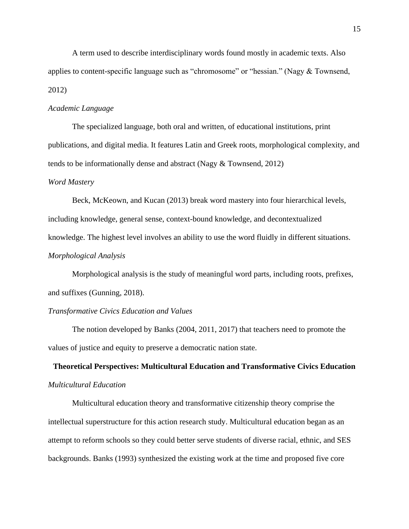A term used to describe interdisciplinary words found mostly in academic texts. Also applies to content-specific language such as "chromosome" or "hessian." (Nagy & Townsend, 2012)

# *Academic Language*

The specialized language, both oral and written, of educational institutions, print publications, and digital media. It features Latin and Greek roots, morphological complexity, and tends to be informationally dense and abstract (Nagy & Townsend, 2012)

#### *Word Mastery*

Beck, McKeown, and Kucan (2013) break word mastery into four hierarchical levels, including knowledge, general sense, context-bound knowledge, and decontextualized knowledge. The highest level involves an ability to use the word fluidly in different situations. *Morphological Analysis*

Morphological analysis is the study of meaningful word parts, including roots, prefixes, and suffixes (Gunning, 2018).

### *Transformative Civics Education and Values*

The notion developed by Banks (2004, 2011, 2017) that teachers need to promote the values of justice and equity to preserve a democratic nation state.

# **Theoretical Perspectives: Multicultural Education and Transformative Civics Education** *Multicultural Education*

Multicultural education theory and transformative citizenship theory comprise the intellectual superstructure for this action research study. Multicultural education began as an attempt to reform schools so they could better serve students of diverse racial, ethnic, and SES backgrounds. Banks (1993) synthesized the existing work at the time and proposed five core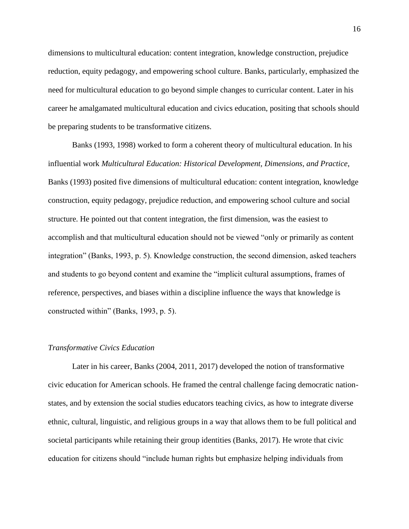dimensions to multicultural education: content integration, knowledge construction, prejudice reduction, equity pedagogy, and empowering school culture. Banks, particularly, emphasized the need for multicultural education to go beyond simple changes to curricular content. Later in his career he amalgamated multicultural education and civics education, positing that schools should be preparing students to be transformative citizens.

Banks (1993, 1998) worked to form a coherent theory of multicultural education. In his influential work *Multicultural Education: Historical Development, Dimensions, and Practice*, Banks (1993) posited five dimensions of multicultural education: content integration, knowledge construction, equity pedagogy, prejudice reduction, and empowering school culture and social structure. He pointed out that content integration, the first dimension, was the easiest to accomplish and that multicultural education should not be viewed "only or primarily as content integration" (Banks, 1993, p. 5). Knowledge construction, the second dimension, asked teachers and students to go beyond content and examine the "implicit cultural assumptions, frames of reference, perspectives, and biases within a discipline influence the ways that knowledge is constructed within" (Banks, 1993, p. 5).

### *Transformative Civics Education*

Later in his career, Banks (2004, 2011, 2017) developed the notion of transformative civic education for American schools. He framed the central challenge facing democratic nationstates, and by extension the social studies educators teaching civics, as how to integrate diverse ethnic, cultural, linguistic, and religious groups in a way that allows them to be full political and societal participants while retaining their group identities (Banks, 2017). He wrote that civic education for citizens should "include human rights but emphasize helping individuals from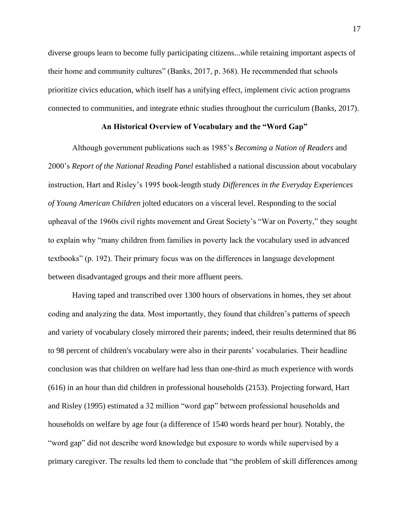diverse groups learn to become fully participating citizens...while retaining important aspects of their home and community cultures" (Banks, 2017, p. 368). He recommended that schools prioritize civics education, which itself has a unifying effect, implement civic action programs connected to communities, and integrate ethnic studies throughout the curriculum (Banks, 2017).

### **An Historical Overview of Vocabulary and the "Word Gap"**

Although government publications such as 1985's *Becoming a Nation of Readers* and 2000's *Report of the National Reading Panel* established a national discussion about vocabulary instruction, Hart and Risley's 1995 book-length study *Differences in the Everyday Experiences of Young American Children* jolted educators on a visceral level. Responding to the social upheaval of the 1960s civil rights movement and Great Society's "War on Poverty," they sought to explain why "many children from families in poverty lack the vocabulary used in advanced textbooks" (p. 192). Their primary focus was on the differences in language development between disadvantaged groups and their more affluent peers.

Having taped and transcribed over 1300 hours of observations in homes, they set about coding and analyzing the data. Most importantly, they found that children's patterns of speech and variety of vocabulary closely mirrored their parents; indeed, their results determined that 86 to 98 percent of children's vocabulary were also in their parents' vocabularies. Their headline conclusion was that children on welfare had less than one-third as much experience with words (616) in an hour than did children in professional households (2153). Projecting forward, Hart and Risley (1995) estimated a 32 million "word gap" between professional households and households on welfare by age four (a difference of 1540 words heard per hour). Notably, the "word gap" did not describe word knowledge but exposure to words while supervised by a primary caregiver. The results led them to conclude that "the problem of skill differences among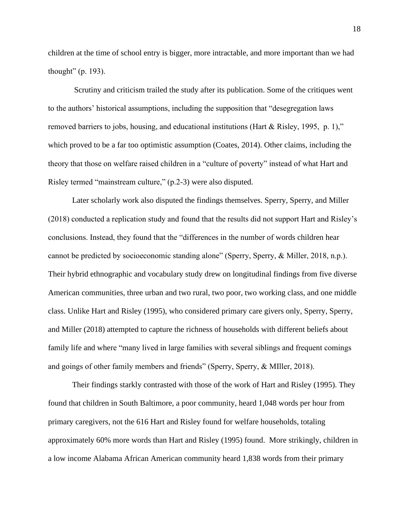children at the time of school entry is bigger, more intractable, and more important than we had thought" (p. 193).

Scrutiny and criticism trailed the study after its publication. Some of the critiques went to the authors' historical assumptions, including the supposition that "desegregation laws removed barriers to jobs, housing, and educational institutions (Hart & Risley, 1995, p. 1)," which proved to be a far too optimistic assumption (Coates, 2014). Other claims, including the theory that those on welfare raised children in a "culture of poverty" instead of what Hart and Risley termed "mainstream culture," (p.2-3) were also disputed.

Later scholarly work also disputed the findings themselves. Sperry, Sperry, and Miller (2018) conducted a replication study and found that the results did not support Hart and Risley's conclusions. Instead, they found that the "differences in the number of words children hear cannot be predicted by socioeconomic standing alone" (Sperry, Sperry, & Miller, 2018, n.p.). Their hybrid ethnographic and vocabulary study drew on longitudinal findings from five diverse American communities, three urban and two rural, two poor, two working class, and one middle class. Unlike Hart and Risley (1995), who considered primary care givers only, Sperry, Sperry, and Miller (2018) attempted to capture the richness of households with different beliefs about family life and where "many lived in large families with several siblings and frequent comings and goings of other family members and friends" (Sperry, Sperry, & MIller, 2018).

Their findings starkly contrasted with those of the work of Hart and Risley (1995). They found that children in South Baltimore, a poor community, heard 1,048 words per hour from primary caregivers, not the 616 Hart and Risley found for welfare households, totaling approximately 60% more words than Hart and Risley (1995) found. More strikingly, children in a low income Alabama African American community heard 1,838 words from their primary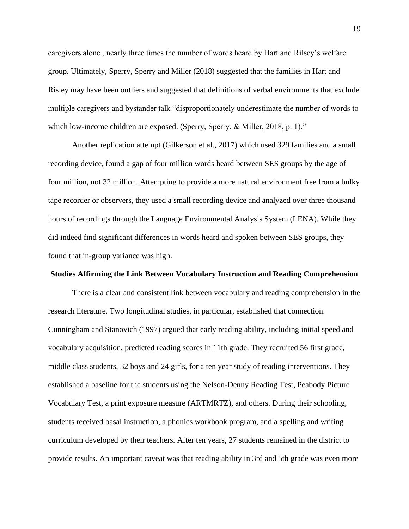caregivers alone , nearly three times the number of words heard by Hart and Rilsey's welfare group. Ultimately, Sperry, Sperry and Miller (2018) suggested that the families in Hart and Risley may have been outliers and suggested that definitions of verbal environments that exclude multiple caregivers and bystander talk "disproportionately underestimate the number of words to which low-income children are exposed. (Sperry, Sperry, & Miller, 2018, p. 1)."

Another replication attempt (Gilkerson et al., 2017) which used 329 families and a small recording device, found a gap of four million words heard between SES groups by the age of four million, not 32 million. Attempting to provide a more natural environment free from a bulky tape recorder or observers, they used a small recording device and analyzed over three thousand hours of recordings through the Language Environmental Analysis System (LENA). While they did indeed find significant differences in words heard and spoken between SES groups, they found that in-group variance was high.

#### **Studies Affirming the Link Between Vocabulary Instruction and Reading Comprehension**

There is a clear and consistent link between vocabulary and reading comprehension in the research literature. Two longitudinal studies, in particular, established that connection. Cunningham and Stanovich (1997) argued that early reading ability, including initial speed and vocabulary acquisition, predicted reading scores in 11th grade. They recruited 56 first grade, middle class students, 32 boys and 24 girls, for a ten year study of reading interventions. They established a baseline for the students using the Nelson-Denny Reading Test, Peabody Picture Vocabulary Test, a print exposure measure (ARTMRTZ), and others. During their schooling, students received basal instruction, a phonics workbook program, and a spelling and writing curriculum developed by their teachers. After ten years, 27 students remained in the district to provide results. An important caveat was that reading ability in 3rd and 5th grade was even more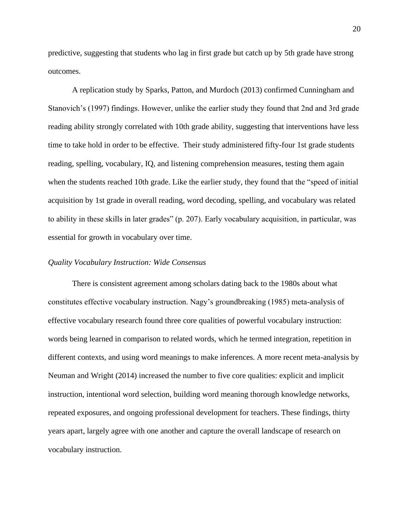predictive, suggesting that students who lag in first grade but catch up by 5th grade have strong outcomes.

A replication study by Sparks, Patton, and Murdoch (2013) confirmed Cunningham and Stanovich's (1997) findings. However, unlike the earlier study they found that 2nd and 3rd grade reading ability strongly correlated with 10th grade ability, suggesting that interventions have less time to take hold in order to be effective. Their study administered fifty-four 1st grade students reading, spelling, vocabulary, IQ, and listening comprehension measures, testing them again when the students reached 10th grade. Like the earlier study, they found that the "speed of initial acquisition by 1st grade in overall reading, word decoding, spelling, and vocabulary was related to ability in these skills in later grades" (p. 207). Early vocabulary acquisition, in particular, was essential for growth in vocabulary over time.

# *Quality Vocabulary Instruction: Wide Consensus*

There is consistent agreement among scholars dating back to the 1980s about what constitutes effective vocabulary instruction. Nagy's groundbreaking (1985) meta-analysis of effective vocabulary research found three core qualities of powerful vocabulary instruction: words being learned in comparison to related words, which he termed integration, repetition in different contexts, and using word meanings to make inferences. A more recent meta-analysis by Neuman and Wright (2014) increased the number to five core qualities: explicit and implicit instruction, intentional word selection, building word meaning thorough knowledge networks, repeated exposures, and ongoing professional development for teachers. These findings, thirty years apart, largely agree with one another and capture the overall landscape of research on vocabulary instruction.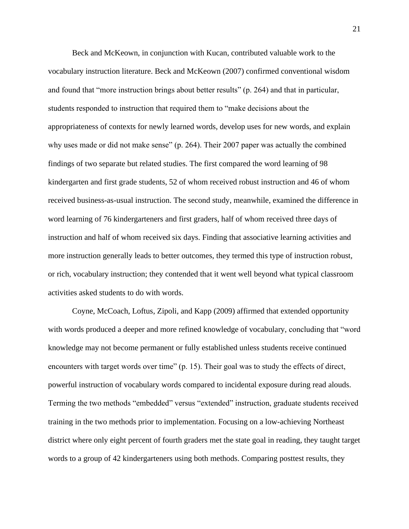Beck and McKeown, in conjunction with Kucan, contributed valuable work to the vocabulary instruction literature. Beck and McKeown (2007) confirmed conventional wisdom and found that "more instruction brings about better results" (p. 264) and that in particular, students responded to instruction that required them to "make decisions about the appropriateness of contexts for newly learned words, develop uses for new words, and explain why uses made or did not make sense" (p. 264). Their 2007 paper was actually the combined findings of two separate but related studies. The first compared the word learning of 98 kindergarten and first grade students, 52 of whom received robust instruction and 46 of whom received business-as-usual instruction. The second study, meanwhile, examined the difference in word learning of 76 kindergarteners and first graders, half of whom received three days of instruction and half of whom received six days. Finding that associative learning activities and more instruction generally leads to better outcomes, they termed this type of instruction robust, or rich, vocabulary instruction; they contended that it went well beyond what typical classroom activities asked students to do with words.

Coyne, McCoach, Loftus, Zipoli, and Kapp (2009) affirmed that extended opportunity with words produced a deeper and more refined knowledge of vocabulary, concluding that "word knowledge may not become permanent or fully established unless students receive continued encounters with target words over time" (p. 15). Their goal was to study the effects of direct, powerful instruction of vocabulary words compared to incidental exposure during read alouds. Terming the two methods "embedded" versus "extended" instruction, graduate students received training in the two methods prior to implementation. Focusing on a low-achieving Northeast district where only eight percent of fourth graders met the state goal in reading, they taught target words to a group of 42 kindergarteners using both methods. Comparing posttest results, they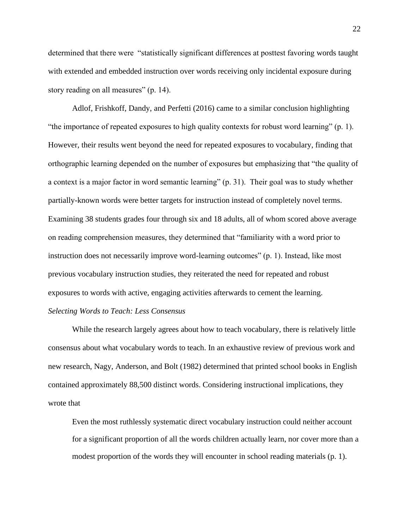determined that there were "statistically significant differences at posttest favoring words taught with extended and embedded instruction over words receiving only incidental exposure during story reading on all measures" (p. 14).

Adlof, Frishkoff, Dandy, and Perfetti (2016) came to a similar conclusion highlighting "the importance of repeated exposures to high quality contexts for robust word learning" (p. 1). However, their results went beyond the need for repeated exposures to vocabulary, finding that orthographic learning depended on the number of exposures but emphasizing that "the quality of a context is a major factor in word semantic learning" (p. 31). Their goal was to study whether partially-known words were better targets for instruction instead of completely novel terms. Examining 38 students grades four through six and 18 adults, all of whom scored above average on reading comprehension measures, they determined that "familiarity with a word prior to instruction does not necessarily improve word-learning outcomes" (p. 1). Instead, like most previous vocabulary instruction studies, they reiterated the need for repeated and robust exposures to words with active, engaging activities afterwards to cement the learning. *Selecting Words to Teach: Less Consensus*

While the research largely agrees about how to teach vocabulary, there is relatively little consensus about what vocabulary words to teach. In an exhaustive review of previous work and new research, Nagy, Anderson, and Bolt (1982) determined that printed school books in English contained approximately 88,500 distinct words. Considering instructional implications, they wrote that

Even the most ruthlessly systematic direct vocabulary instruction could neither account for a significant proportion of all the words children actually learn, nor cover more than a modest proportion of the words they will encounter in school reading materials (p. 1).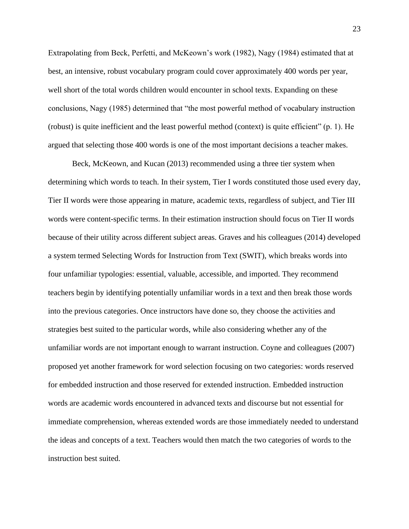Extrapolating from Beck, Perfetti, and McKeown's work (1982), Nagy (1984) estimated that at best, an intensive, robust vocabulary program could cover approximately 400 words per year, well short of the total words children would encounter in school texts. Expanding on these conclusions, Nagy (1985) determined that "the most powerful method of vocabulary instruction (robust) is quite inefficient and the least powerful method (context) is quite efficient" (p. 1). He argued that selecting those 400 words is one of the most important decisions a teacher makes.

Beck, McKeown, and Kucan (2013) recommended using a three tier system when determining which words to teach. In their system, Tier I words constituted those used every day, Tier II words were those appearing in mature, academic texts, regardless of subject, and Tier III words were content-specific terms. In their estimation instruction should focus on Tier II words because of their utility across different subject areas. Graves and his colleagues (2014) developed a system termed Selecting Words for Instruction from Text (SWIT), which breaks words into four unfamiliar typologies: essential, valuable, accessible, and imported. They recommend teachers begin by identifying potentially unfamiliar words in a text and then break those words into the previous categories. Once instructors have done so, they choose the activities and strategies best suited to the particular words, while also considering whether any of the unfamiliar words are not important enough to warrant instruction. Coyne and colleagues (2007) proposed yet another framework for word selection focusing on two categories: words reserved for embedded instruction and those reserved for extended instruction. Embedded instruction words are academic words encountered in advanced texts and discourse but not essential for immediate comprehension, whereas extended words are those immediately needed to understand the ideas and concepts of a text. Teachers would then match the two categories of words to the instruction best suited.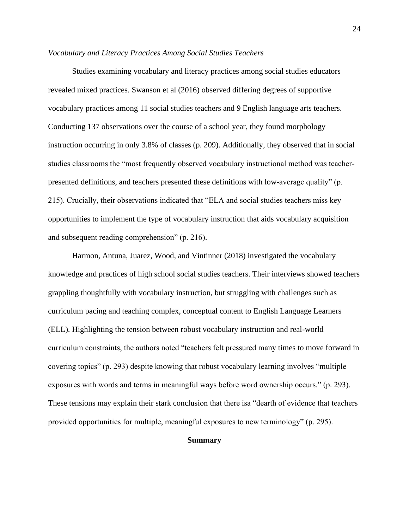#### *Vocabulary and Literacy Practices Among Social Studies Teachers*

Studies examining vocabulary and literacy practices among social studies educators revealed mixed practices. Swanson et al (2016) observed differing degrees of supportive vocabulary practices among 11 social studies teachers and 9 English language arts teachers. Conducting 137 observations over the course of a school year, they found morphology instruction occurring in only 3.8% of classes (p. 209). Additionally, they observed that in social studies classrooms the "most frequently observed vocabulary instructional method was teacherpresented definitions, and teachers presented these definitions with low-average quality" (p. 215). Crucially, their observations indicated that "ELA and social studies teachers miss key opportunities to implement the type of vocabulary instruction that aids vocabulary acquisition and subsequent reading comprehension" (p. 216).

Harmon, Antuna, Juarez, Wood, and Vintinner (2018) investigated the vocabulary knowledge and practices of high school social studies teachers. Their interviews showed teachers grappling thoughtfully with vocabulary instruction, but struggling with challenges such as curriculum pacing and teaching complex, conceptual content to English Language Learners (ELL). Highlighting the tension between robust vocabulary instruction and real-world curriculum constraints, the authors noted "teachers felt pressured many times to move forward in covering topics" (p. 293) despite knowing that robust vocabulary learning involves "multiple exposures with words and terms in meaningful ways before word ownership occurs." (p. 293). These tensions may explain their stark conclusion that there isa "dearth of evidence that teachers provided opportunities for multiple, meaningful exposures to new terminology" (p. 295).

# **Summary**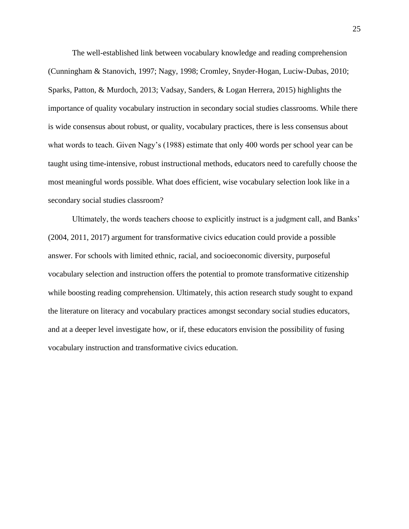The well-established link between vocabulary knowledge and reading comprehension (Cunningham & Stanovich, 1997; Nagy, 1998; Cromley, Snyder-Hogan, Luciw-Dubas, 2010; Sparks, Patton, & Murdoch, 2013; Vadsay, Sanders, & Logan Herrera, 2015) highlights the importance of quality vocabulary instruction in secondary social studies classrooms. While there is wide consensus about robust, or quality, vocabulary practices, there is less consensus about what words to teach. Given Nagy's (1988) estimate that only 400 words per school year can be taught using time-intensive, robust instructional methods, educators need to carefully choose the most meaningful words possible. What does efficient, wise vocabulary selection look like in a secondary social studies classroom?

Ultimately, the words teachers choose to explicitly instruct is a judgment call, and Banks' (2004, 2011, 2017) argument for transformative civics education could provide a possible answer. For schools with limited ethnic, racial, and socioeconomic diversity, purposeful vocabulary selection and instruction offers the potential to promote transformative citizenship while boosting reading comprehension. Ultimately, this action research study sought to expand the literature on literacy and vocabulary practices amongst secondary social studies educators, and at a deeper level investigate how, or if, these educators envision the possibility of fusing vocabulary instruction and transformative civics education.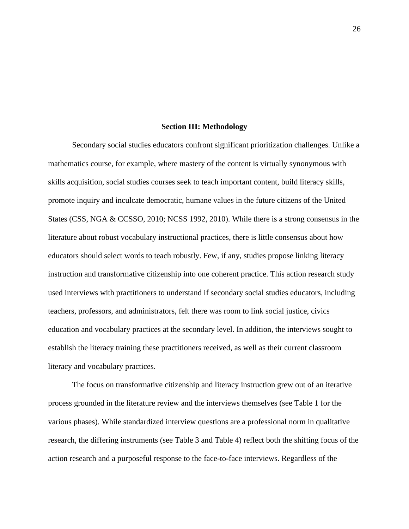#### **Section III: Methodology**

Secondary social studies educators confront significant prioritization challenges. Unlike a mathematics course, for example, where mastery of the content is virtually synonymous with skills acquisition, social studies courses seek to teach important content, build literacy skills, promote inquiry and inculcate democratic, humane values in the future citizens of the United States (CSS, NGA & CCSSO, 2010; NCSS 1992, 2010). While there is a strong consensus in the literature about robust vocabulary instructional practices, there is little consensus about how educators should select words to teach robustly. Few, if any, studies propose linking literacy instruction and transformative citizenship into one coherent practice. This action research study used interviews with practitioners to understand if secondary social studies educators, including teachers, professors, and administrators, felt there was room to link social justice, civics education and vocabulary practices at the secondary level. In addition, the interviews sought to establish the literacy training these practitioners received, as well as their current classroom literacy and vocabulary practices.

The focus on transformative citizenship and literacy instruction grew out of an iterative process grounded in the literature review and the interviews themselves (see Table 1 for the various phases). While standardized interview questions are a professional norm in qualitative research, the differing instruments (see Table 3 and Table 4) reflect both the shifting focus of the action research and a purposeful response to the face-to-face interviews. Regardless of the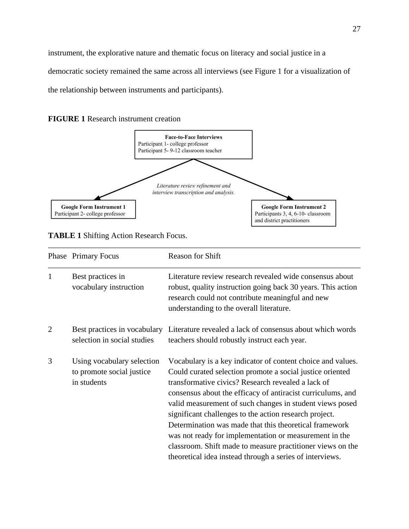instrument, the explorative nature and thematic focus on literacy and social justice in a democratic society remained the same across all interviews (see Figure 1 for a visualization of the relationship between instruments and participants).





**TABLE 1** Shifting Action Research Focus.

|                | Phase Primary Focus                                                    | <b>Reason for Shift</b>                                                                                                                                                                                                                                                                                                                                                                                                                                                                                                                                                                                           |  |  |  |
|----------------|------------------------------------------------------------------------|-------------------------------------------------------------------------------------------------------------------------------------------------------------------------------------------------------------------------------------------------------------------------------------------------------------------------------------------------------------------------------------------------------------------------------------------------------------------------------------------------------------------------------------------------------------------------------------------------------------------|--|--|--|
| 1              | Best practices in<br>vocabulary instruction                            | Literature review research revealed wide consensus about<br>robust, quality instruction going back 30 years. This action<br>research could not contribute meaningful and new<br>understanding to the overall literature.                                                                                                                                                                                                                                                                                                                                                                                          |  |  |  |
| $\overline{2}$ | Best practices in vocabulary<br>selection in social studies            | Literature revealed a lack of consensus about which words<br>teachers should robustly instruct each year.                                                                                                                                                                                                                                                                                                                                                                                                                                                                                                         |  |  |  |
| 3              | Using vocabulary selection<br>to promote social justice<br>in students | Vocabulary is a key indicator of content choice and values.<br>Could curated selection promote a social justice oriented<br>transformative civics? Research revealed a lack of<br>consensus about the efficacy of antiracist curriculums, and<br>valid measurement of such changes in student views posed<br>significant challenges to the action research project.<br>Determination was made that this theoretical framework<br>was not ready for implementation or measurement in the<br>classroom. Shift made to measure practitioner views on the<br>theoretical idea instead through a series of interviews. |  |  |  |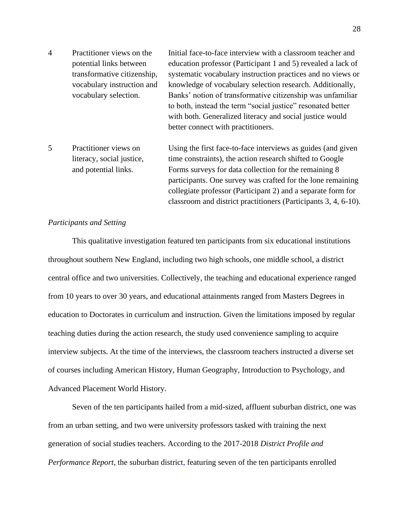| $\overline{4}$ | Practitioner views on the   | Initial face-to-face interview with a classroom teacher and  |
|----------------|-----------------------------|--------------------------------------------------------------|
|                | potential links between     | education professor (Participant 1 and 5) revealed a lack of |
|                | transformative citizenship, | systematic vocabulary instruction practices and no views or  |
|                | vocabulary instruction and  | knowledge of vocabulary selection research. Additionally,    |
|                | vocabulary selection.       | Banks' notion of transformative citizenship was unfamiliar   |
|                |                             | to both, instead the term "social justice" resonated better  |
|                |                             | with both. Generalized literacy and social justice would     |
|                |                             | better connect with practitioners.                           |
|                |                             |                                                              |
|                |                             |                                                              |

5 Practitioner views on Using the first face-to-face interviews as guides (and given literacy, social justice, time constraints), the action research shifted to Google and potential links. Forms surveys for data collection for the remaining 8 participants. One survey was crafted for the lone remaining collegiate professor (Participant 2) and a separate form for classroom and district practitioners (Participants 3, 4, 6-10).

#### *Participants and Setting*

This qualitative investigation featured ten participants from six educational institutions throughout southern New England, including two high schools, one middle school, a district central office and two universities. Collectively, the teaching and educational experience ranged from 10 years to over 30 years, and educational attainments ranged from Masters Degrees in education to Doctorates in curriculum and instruction. Given the limitations imposed by regular teaching duties during the action research, the study used convenience sampling to acquire interview subjects. At the time of the interviews, the classroom teachers instructed a diverse set of courses including American History, Human Geography, Introduction to Psychology, and Advanced Placement World History.

Seven of the ten participants hailed from a mid-sized, affluent suburban district, one was from an urban setting, and two were university professors tasked with training the next generation of social studies teachers. According to the 2017-2018 *District Profile and Performance Report*, the suburban district, featuring seven of the ten participants enrolled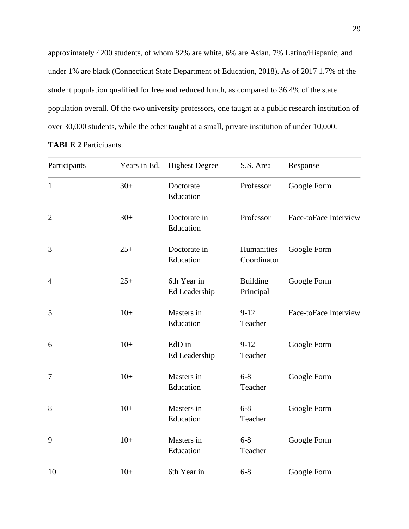approximately 4200 students, of whom 82% are white, 6% are Asian, 7% Latino/Hispanic, and under 1% are black (Connecticut State Department of Education, 2018). As of 2017 1.7% of the student population qualified for free and reduced lunch, as compared to 36.4% of the state population overall. Of the two university professors, one taught at a public research institution of over 30,000 students, while the other taught at a small, private institution of under 10,000.

| Participants   | Years in Ed. | <b>Highest Degree</b>                  | S.S. Area                    | Response              |  |  |
|----------------|--------------|----------------------------------------|------------------------------|-----------------------|--|--|
| $\mathbf{1}$   | $30+$        | Doctorate<br>Professor<br>Education    |                              | Google Form           |  |  |
| $\overline{2}$ | $30+$        | Professor<br>Doctorate in<br>Education |                              | Face-toFace Interview |  |  |
| 3              | $25+$        | Doctorate in<br>Education              | Humanities<br>Coordinator    |                       |  |  |
| $\overline{4}$ | $25+$        | 6th Year in<br>Ed Leadership           | <b>Building</b><br>Principal | Google Form           |  |  |
| 5              | $10+$        | Masters in<br>Education                | $9 - 12$<br>Teacher          | Face-toFace Interview |  |  |
| 6              | $10+$        | EdD in<br>Ed Leadership                | $9 - 12$<br>Teacher          | Google Form           |  |  |
| $\tau$         | $10+$        | Masters in<br>Education                | $6 - 8$<br>Teacher           | Google Form           |  |  |
| 8              | $10+$        | Masters in<br>Education                | $6 - 8$<br>Teacher           | Google Form           |  |  |
| 9              | $10+$        | Masters in<br>Education                | $6 - 8$<br>Teacher           | Google Form           |  |  |
| 10             | $10+$        | 6th Year in                            | $6 - 8$                      | Google Form           |  |  |

**TABLE 2** Participants.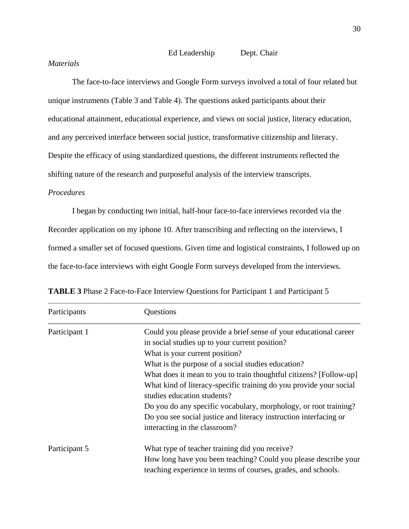Ed Leadership Dept. Chair

# *Materials*

The face-to-face interviews and Google Form surveys involved a total of four related but unique instruments (Table 3 and Table 4). The questions asked participants about their educational attainment, educational experience, and views on social justice, literacy education, and any perceived interface between social justice, transformative citizenship and literacy. Despite the efficacy of using standardized questions, the different instruments reflected the shifting nature of the research and purposeful analysis of the interview transcripts.

# *Procedures*

I began by conducting two initial, half-hour face-to-face interviews recorded via the Recorder application on my iphone 10. After transcribing and reflecting on the interviews, I formed a smaller set of focused questions. Given time and logistical constraints, I followed up on the face-to-face interviews with eight Google Form surveys developed from the interviews.

| Participants  | Questions                                                                                                                        |  |  |  |  |
|---------------|----------------------------------------------------------------------------------------------------------------------------------|--|--|--|--|
| Participant 1 | Could you please provide a brief sense of your educational career                                                                |  |  |  |  |
|               | in social studies up to your current position?                                                                                   |  |  |  |  |
|               | What is your current position?                                                                                                   |  |  |  |  |
|               | What is the purpose of a social studies education?                                                                               |  |  |  |  |
|               | What does it mean to you to train thoughtful citizens? [Follow-up]                                                               |  |  |  |  |
|               | What kind of literacy-specific training do you provide your social<br>studies education students?                                |  |  |  |  |
|               | Do you do any specific vocabulary, morphology, or root training?                                                                 |  |  |  |  |
|               | Do you see social justice and literacy instruction interfacing or<br>interacting in the classroom?                               |  |  |  |  |
| Participant 5 | What type of teacher training did you receive?                                                                                   |  |  |  |  |
|               | How long have you been teaching? Could you please describe your<br>teaching experience in terms of courses, grades, and schools. |  |  |  |  |

**TABLE 3** Phase 2 Face-to-Face Interview Questions for Participant 1 and Participant 5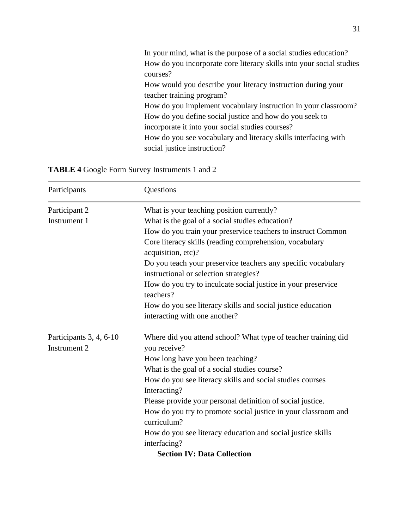| In your mind, what is the purpose of a social studies education?     |
|----------------------------------------------------------------------|
| How do you incorporate core literacy skills into your social studies |
| courses?                                                             |
| How would you describe your literacy instruction during your         |
| teacher training program?                                            |
| How do you implement vocabulary instruction in your classroom?       |
| How do you define social justice and how do you seek to              |
| incorporate it into your social studies courses?                     |
| How do you see vocabulary and literacy skills interfacing with       |
| social justice instruction?                                          |

|  |  |  |  | <b>TABLE 4 Google Form Survey Instruments 1 and 2</b> |  |  |
|--|--|--|--|-------------------------------------------------------|--|--|
|--|--|--|--|-------------------------------------------------------|--|--|

| Participants                            | Questions                                                                                               |  |  |  |
|-----------------------------------------|---------------------------------------------------------------------------------------------------------|--|--|--|
| Participant 2                           | What is your teaching position currently?                                                               |  |  |  |
| Instrument 1                            | What is the goal of a social studies education?                                                         |  |  |  |
|                                         | How do you train your preservice teachers to instruct Common                                            |  |  |  |
|                                         | Core literacy skills (reading comprehension, vocabulary                                                 |  |  |  |
|                                         | acquisition, etc)?                                                                                      |  |  |  |
|                                         | Do you teach your preservice teachers any specific vocabulary<br>instructional or selection strategies? |  |  |  |
|                                         | How do you try to inculcate social justice in your preservice<br>teachers?                              |  |  |  |
|                                         | How do you see literacy skills and social justice education                                             |  |  |  |
|                                         | interacting with one another?                                                                           |  |  |  |
| Participants 3, 4, 6-10<br>Instrument 2 | Where did you attend school? What type of teacher training did<br>you receive?                          |  |  |  |
|                                         | How long have you been teaching?                                                                        |  |  |  |
|                                         | What is the goal of a social studies course?                                                            |  |  |  |
|                                         | How do you see literacy skills and social studies courses                                               |  |  |  |
|                                         | Interacting?                                                                                            |  |  |  |
|                                         | Please provide your personal definition of social justice.                                              |  |  |  |
|                                         | How do you try to promote social justice in your classroom and<br>curriculum?                           |  |  |  |
|                                         | How do you see literacy education and social justice skills                                             |  |  |  |
|                                         | interfacing?                                                                                            |  |  |  |
|                                         | <b>Section IV: Data Collection</b>                                                                      |  |  |  |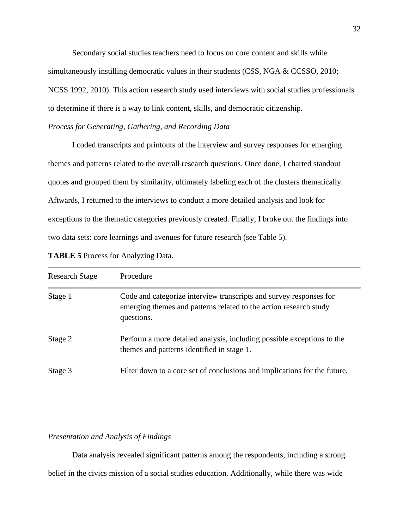Secondary social studies teachers need to focus on core content and skills while simultaneously instilling democratic values in their students (CSS, NGA & CCSSO, 2010; NCSS 1992, 2010). This action research study used interviews with social studies professionals to determine if there is a way to link content, skills, and democratic citizenship.

# *Process for Generating, Gathering, and Recording Data*

I coded transcripts and printouts of the interview and survey responses for emerging themes and patterns related to the overall research questions. Once done, I charted standout quotes and grouped them by similarity, ultimately labeling each of the clusters thematically. Aftwards, I returned to the interviews to conduct a more detailed analysis and look for exceptions to the thematic categories previously created. Finally, I broke out the findings into two data sets: core learnings and avenues for future research (see Table 5).

| <b>TABLE 5 Process for Analyzing Data.</b> |  |  |  |
|--------------------------------------------|--|--|--|
|                                            |  |  |  |

| <b>Research Stage</b> | Procedure                                                                                                                                             |
|-----------------------|-------------------------------------------------------------------------------------------------------------------------------------------------------|
| Stage 1               | Code and categorize interview transcripts and survey responses for<br>emerging themes and patterns related to the action research study<br>questions. |
| Stage 2               | Perform a more detailed analysis, including possible exceptions to the<br>themes and patterns identified in stage 1.                                  |
| Stage 3               | Filter down to a core set of conclusions and implications for the future.                                                                             |

# *Presentation and Analysis of Findings*

Data analysis revealed significant patterns among the respondents, including a strong belief in the civics mission of a social studies education. Additionally, while there was wide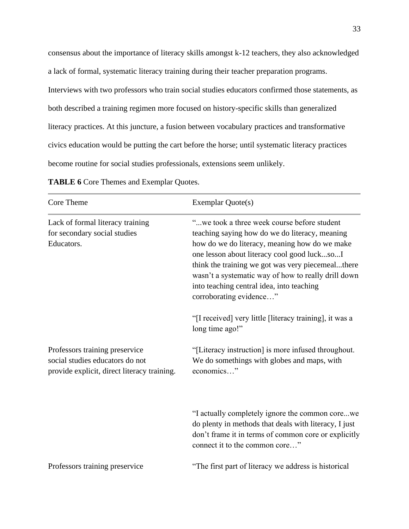consensus about the importance of literacy skills amongst k-12 teachers, they also acknowledged a lack of formal, systematic literacy training during their teacher preparation programs. Interviews with two professors who train social studies educators confirmed those statements, as both described a training regimen more focused on history-specific skills than generalized literacy practices. At this juncture, a fusion between vocabulary practices and transformative civics education would be putting the cart before the horse; until systematic literacy practices become routine for social studies professionals, extensions seem unlikely.

| Core Theme                                                                                                       | <b>Exemplar Quote(s)</b>                                                                                                                                                                                                                                                                                                                                                          |
|------------------------------------------------------------------------------------------------------------------|-----------------------------------------------------------------------------------------------------------------------------------------------------------------------------------------------------------------------------------------------------------------------------------------------------------------------------------------------------------------------------------|
| Lack of formal literacy training<br>for secondary social studies<br>Educators.                                   | "we took a three week course before student<br>teaching saying how do we do literacy, meaning<br>how do we do literacy, meaning how do we make<br>one lesson about literacy cool good lucksoI<br>think the training we got was very piecemealthere<br>wasn't a systematic way of how to really drill down<br>into teaching central idea, into teaching<br>corroborating evidence" |
|                                                                                                                  | "[I received] very little [literacy training], it was a<br>long time ago!"                                                                                                                                                                                                                                                                                                        |
| Professors training preservice<br>social studies educators do not<br>provide explicit, direct literacy training. | "[Literacy instruction] is more infused throughout.<br>We do somethings with globes and maps, with<br>economics"                                                                                                                                                                                                                                                                  |
|                                                                                                                  | "I actually completely ignore the common corewe<br>do plenty in methods that deals with literacy, I just<br>don't frame it in terms of common core or explicitly<br>connect it to the common core"                                                                                                                                                                                |
| Professors training preservice                                                                                   | "The first part of literacy we address is historical                                                                                                                                                                                                                                                                                                                              |

**TABLE 6** Core Themes and Exemplar Quotes.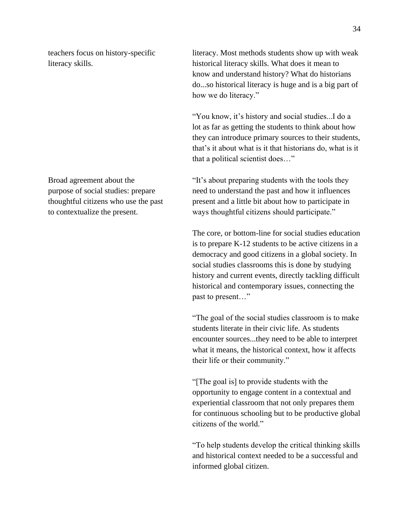teachers focus on history-specific literacy. Most methods students show up with weak literacy skills. historical literacy skills. What does it mean to know and understand history? What do historians do...so historical literacy is huge and is a big part of how we do literacy."

> "You know, it's history and social studies...I do a lot as far as getting the students to think about how they can introduce primary sources to their students, that's it about what is it that historians do, what is it that a political scientist does…"

Broad agreement about the "It's about preparing students with the tools they purpose of social studies: prepare need to understand the past and how it influences thoughtful citizens who use the past present and a little bit about how to participate in to contextualize the present. ways thoughtful citizens should participate."

> The core, or bottom-line for social studies education is to prepare K-12 students to be active citizens in a democracy and good citizens in a global society. In social studies classrooms this is done by studying history and current events, directly tackling difficult historical and contemporary issues, connecting the past to present…"

> "The goal of the social studies classroom is to make students literate in their civic life. As students encounter sources...they need to be able to interpret what it means, the historical context, how it affects their life or their community."

> "[The goal is] to provide students with the opportunity to engage content in a contextual and experiential classroom that not only prepares them for continuous schooling but to be productive global citizens of the world."

> "To help students develop the critical thinking skills and historical context needed to be a successful and informed global citizen.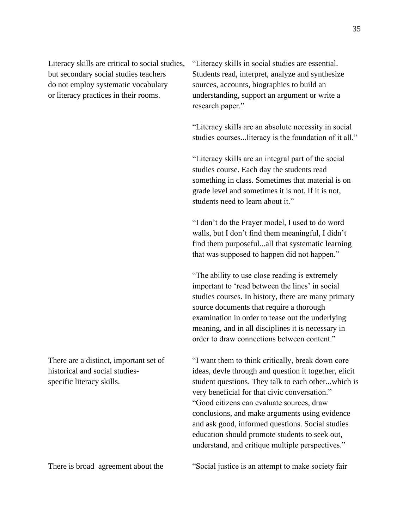do not employ systematic vocabulary sources, accounts, biographies to build an

Literacy skills are critical to social studies, "Literacy skills in social studies are essential. but secondary social studies teachers Students read, interpret, analyze and synthesize or literacy practices in their rooms. understanding, support an argument or write a research paper."

> "Literacy skills are an absolute necessity in social studies courses...literacy is the foundation of it all."

"Literacy skills are an integral part of the social studies course. Each day the students read something in class. Sometimes that material is on grade level and sometimes it is not. If it is not, students need to learn about it."

"I don't do the Frayer model, I used to do word walls, but I don't find them meaningful, I didn't find them purposeful...all that systematic learning that was supposed to happen did not happen."

"The ability to use close reading is extremely important to 'read between the lines' in social studies courses. In history, there are many primary source documents that require a thorough examination in order to tease out the underlying meaning, and in all disciplines it is necessary in order to draw connections between content."

There are a distinct, important set of "I want them to think critically, break down core historical and social studies-<br>ideas, devle through and question it together, elicit specific literacy skills. student questions. They talk to each other...which is very beneficial for that civic conversation." "Good citizens can evaluate sources, draw conclusions, and make arguments using evidence and ask good, informed questions. Social studies education should promote students to seek out, understand, and critique multiple perspectives."

There is broad agreement about the "Social justice is an attempt to make society fair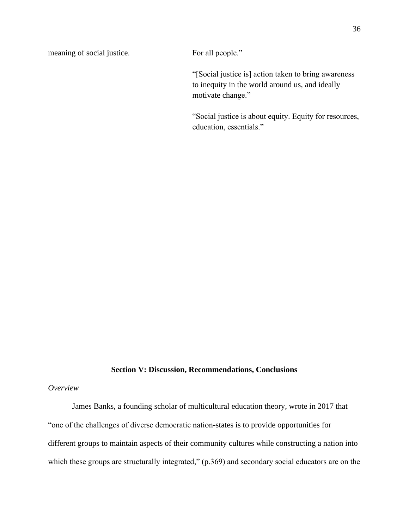meaning of social justice. For all people."

"[Social justice is] action taken to bring awareness to inequity in the world around us, and ideally motivate change."

"Social justice is about equity. Equity for resources, education, essentials."

### **Section V: Discussion, Recommendations, Conclusions**

# *Overview*

James Banks, a founding scholar of multicultural education theory, wrote in 2017 that "one of the challenges of diverse democratic nation-states is to provide opportunities for different groups to maintain aspects of their community cultures while constructing a nation into which these groups are structurally integrated," (p.369) and secondary social educators are on the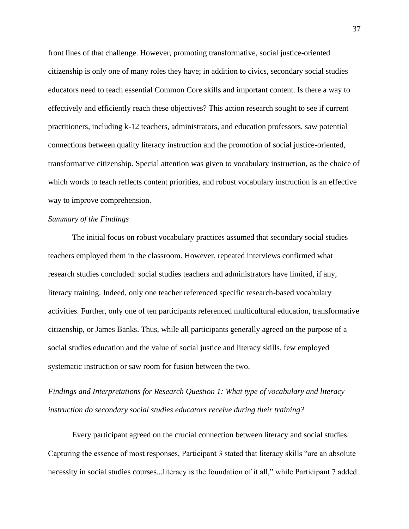front lines of that challenge. However, promoting transformative, social justice-oriented citizenship is only one of many roles they have; in addition to civics, secondary social studies educators need to teach essential Common Core skills and important content. Is there a way to effectively and efficiently reach these objectives? This action research sought to see if current practitioners, including k-12 teachers, administrators, and education professors, saw potential connections between quality literacy instruction and the promotion of social justice-oriented, transformative citizenship. Special attention was given to vocabulary instruction, as the choice of which words to teach reflects content priorities, and robust vocabulary instruction is an effective way to improve comprehension.

# *Summary of the Findings*

The initial focus on robust vocabulary practices assumed that secondary social studies teachers employed them in the classroom. However, repeated interviews confirmed what research studies concluded: social studies teachers and administrators have limited, if any, literacy training. Indeed, only one teacher referenced specific research-based vocabulary activities. Further, only one of ten participants referenced multicultural education, transformative citizenship, or James Banks. Thus, while all participants generally agreed on the purpose of a social studies education and the value of social justice and literacy skills, few employed systematic instruction or saw room for fusion between the two.

*Findings and Interpretations for Research Question 1: What type of vocabulary and literacy instruction do secondary social studies educators receive during their training?*

Every participant agreed on the crucial connection between literacy and social studies. Capturing the essence of most responses, Participant 3 stated that literacy skills "are an absolute necessity in social studies courses...literacy is the foundation of it all," while Participant 7 added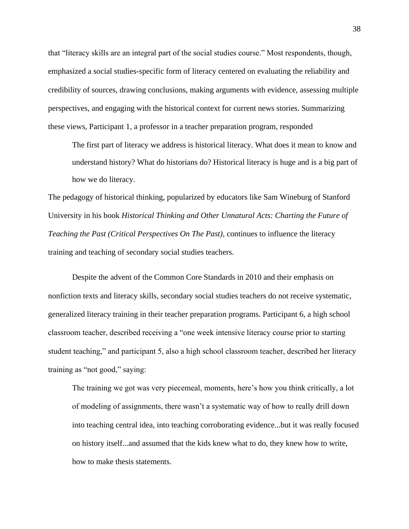that "literacy skills are an integral part of the social studies course." Most respondents, though, emphasized a social studies-specific form of literacy centered on evaluating the reliability and credibility of sources, drawing conclusions, making arguments with evidence, assessing multiple perspectives, and engaging with the historical context for current news stories. Summarizing these views, Participant 1, a professor in a teacher preparation program, responded

The first part of literacy we address is historical literacy. What does it mean to know and understand history? What do historians do? Historical literacy is huge and is a big part of how we do literacy.

The pedagogy of historical thinking, popularized by educators like Sam Wineburg of Stanford University in his book *Historical Thinking and Other Unnatural Acts: Charting the Future of Teaching the Past (Critical Perspectives On The Past)*, continues to influence the literacy training and teaching of secondary social studies teachers.

Despite the advent of the Common Core Standards in 2010 and their emphasis on nonfiction texts and literacy skills, secondary social studies teachers do not receive systematic, generalized literacy training in their teacher preparation programs. Participant 6, a high school classroom teacher, described receiving a "one week intensive literacy course prior to starting student teaching," and participant 5, also a high school classroom teacher, described her literacy training as "not good," saying:

The training we got was very piecemeal, moments, here's how you think critically, a lot of modeling of assignments, there wasn't a systematic way of how to really drill down into teaching central idea, into teaching corroborating evidence...but it was really focused on history itself...and assumed that the kids knew what to do, they knew how to write, how to make thesis statements.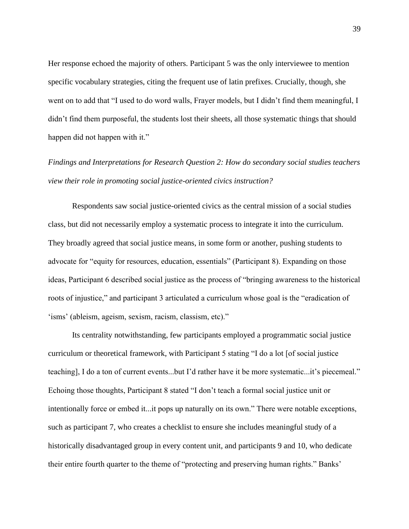Her response echoed the majority of others. Participant 5 was the only interviewee to mention specific vocabulary strategies, citing the frequent use of latin prefixes. Crucially, though, she went on to add that "I used to do word walls, Frayer models, but I didn't find them meaningful, I didn't find them purposeful, the students lost their sheets, all those systematic things that should happen did not happen with it."

*Findings and Interpretations for Research Question 2: How do secondary social studies teachers view their role in promoting social justice-oriented civics instruction?*

Respondents saw social justice-oriented civics as the central mission of a social studies class, but did not necessarily employ a systematic process to integrate it into the curriculum. They broadly agreed that social justice means, in some form or another, pushing students to advocate for "equity for resources, education, essentials" (Participant 8). Expanding on those ideas, Participant 6 described social justice as the process of "bringing awareness to the historical roots of injustice," and participant 3 articulated a curriculum whose goal is the "eradication of 'isms' (ableism, ageism, sexism, racism, classism, etc)."

Its centrality notwithstanding, few participants employed a programmatic social justice curriculum or theoretical framework, with Participant 5 stating "I do a lot [of social justice teaching], I do a ton of current events...but I'd rather have it be more systematic...it's piecemeal." Echoing those thoughts, Participant 8 stated "I don't teach a formal social justice unit or intentionally force or embed it...it pops up naturally on its own." There were notable exceptions, such as participant 7, who creates a checklist to ensure she includes meaningful study of a historically disadvantaged group in every content unit, and participants 9 and 10, who dedicate their entire fourth quarter to the theme of "protecting and preserving human rights." Banks'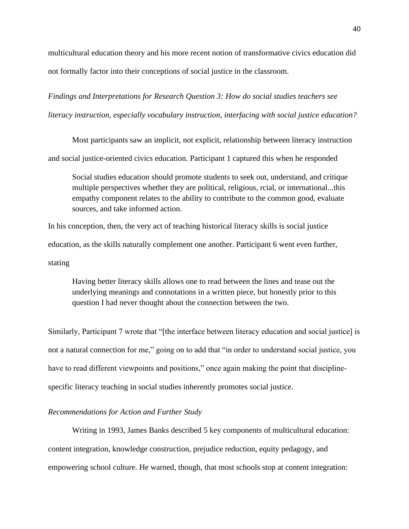multicultural education theory and his more recent notion of transformative civics education did not formally factor into their conceptions of social justice in the classroom.

*Findings and Interpretations for Research Question 3: How do social studies teachers see literacy instruction, especially vocabulary instruction, interfacing with social justice education?*

Most participants saw an implicit, not explicit, relationship between literacy instruction and social justice-oriented civics education. Participant 1 captured this when he responded

Social studies education should promote students to seek out, understand, and critique multiple perspectives whether they are political, religious, rcial, or international...this empathy component relates to the ability to contribute to the common good, evaluate sources, and take informed action.

In his conception, then, the very act of teaching historical literacy skills is social justice education, as the skills naturally complement one another. Participant 6 went even further, stating

Having better literacy skills allows one to read between the lines and tease out the underlying meanings and connotations in a written piece, but honestly prior to this question I had never thought about the connection between the two.

Similarly, Participant 7 wrote that "[the interface between literacy education and social justice] is not a natural connection for me," going on to add that "in order to understand social justice, you have to read different viewpoints and positions," once again making the point that disciplinespecific literacy teaching in social studies inherently promotes social justice.

### *Recommendations for Action and Further Study*

Writing in 1993, James Banks described 5 key components of multicultural education: content integration, knowledge construction, prejudice reduction, equity pedagogy, and empowering school culture. He warned, though, that most schools stop at content integration: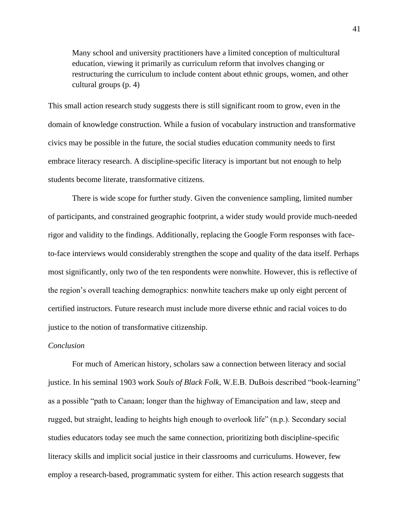Many school and university practitioners have a limited conception of multicultural education, viewing it primarily as curriculum reform that involves changing or restructuring the curriculum to include content about ethnic groups, women, and other cultural groups (p. 4)

This small action research study suggests there is still significant room to grow, even in the domain of knowledge construction. While a fusion of vocabulary instruction and transformative civics may be possible in the future, the social studies education community needs to first embrace literacy research. A discipline-specific literacy is important but not enough to help students become literate, transformative citizens.

There is wide scope for further study. Given the convenience sampling, limited number of participants, and constrained geographic footprint, a wider study would provide much-needed rigor and validity to the findings. Additionally, replacing the Google Form responses with faceto-face interviews would considerably strengthen the scope and quality of the data itself. Perhaps most significantly, only two of the ten respondents were nonwhite. However, this is reflective of the region's overall teaching demographics: nonwhite teachers make up only eight percent of certified instructors. Future research must include more diverse ethnic and racial voices to do justice to the notion of transformative citizenship.

# *Conclusion*

For much of American history, scholars saw a connection between literacy and social justice. In his seminal 1903 work *Souls of Black Folk*, W.E.B. DuBois described "book-learning" as a possible "path to Canaan; longer than the highway of Emancipation and law, steep and rugged, but straight, leading to heights high enough to overlook life" (n.p.). Secondary social studies educators today see much the same connection, prioritizing both discipline-specific literacy skills and implicit social justice in their classrooms and curriculums. However, few employ a research-based, programmatic system for either. This action research suggests that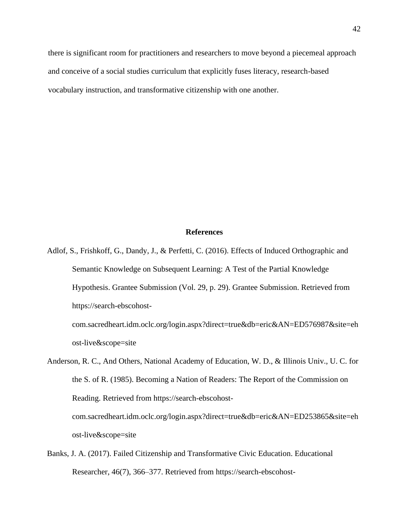there is significant room for practitioners and researchers to move beyond a piecemeal approach and conceive of a social studies curriculum that explicitly fuses literacy, research-based vocabulary instruction, and transformative citizenship with one another.

# **References**

- Adlof, S., Frishkoff, G., Dandy, J., & Perfetti, C. (2016). Effects of Induced Orthographic and Semantic Knowledge on Subsequent Learning: A Test of the Partial Knowledge Hypothesis. Grantee Submission (Vol. 29, p. 29). Grantee Submission. Retrieved from https://search-ebscohost
	- com.sacredheart.idm.oclc.org/login.aspx?direct=true&db=eric&AN=ED576987&site=eh ost-live&scope=site
- Anderson, R. C., And Others, National Academy of Education, W. D., & Illinois Univ., U. C. for the S. of R. (1985). Becoming a Nation of Readers: The Report of the Commission on Reading. Retrieved from https://search-ebscohostcom.sacredheart.idm.oclc.org/login.aspx?direct=true&db=eric&AN=ED253865&site=eh ost-live&scope=site
- Banks, J. A. (2017). Failed Citizenship and Transformative Civic Education. Educational Researcher, 46(7), 366–377. Retrieved from https://search-ebscohost-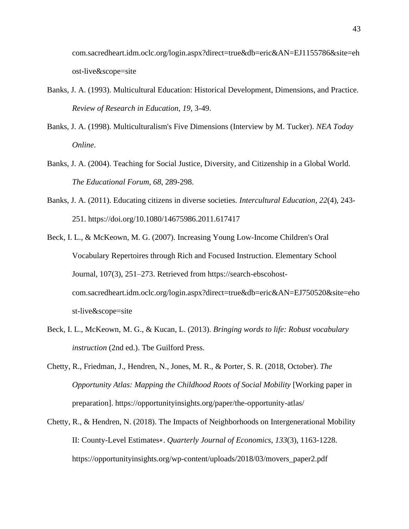com.sacredheart.idm.oclc.org/login.aspx?direct=true&db=eric&AN=EJ1155786&site=eh ost-live&scope=site

- Banks, J. A. (1993). Multicultural Education: Historical Development, Dimensions, and Practice. *Review of Research in Education*, *19*, 3-49.
- Banks, J. A. (1998). Multiculturalism's Five Dimensions (Interview by M. Tucker). *NEA Today Online*.
- Banks, J. A. (2004). Teaching for Social Justice, Diversity, and Citizenship in a Global World. *The Educational Forum*, *68*, 289-298.
- Banks, J. A. (2011). Educating citizens in diverse societies. *Intercultural Education*, *22*(4), 243- 251. https://doi.org/10.1080/14675986.2011.617417
- Beck, I. L., & McKeown, M. G. (2007). Increasing Young Low-Income Children's Oral Vocabulary Repertoires through Rich and Focused Instruction. Elementary School Journal, 107(3), 251–273. Retrieved from https://search-ebscohostcom.sacredheart.idm.oclc.org/login.aspx?direct=true&db=eric&AN=EJ750520&site=eho st-live&scope=site
- Beck, I. L., McKeown, M. G., & Kucan, L. (2013). *Bringing words to life: Robust vocabulary instruction* (2nd ed.). Tbe Guilford Press.
- Chetty, R., Friedman, J., Hendren, N., Jones, M. R., & Porter, S. R. (2018, October). *The Opportunity Atlas: Mapping the Childhood Roots of Social Mobility* [Working paper in preparation]. https://opportunityinsights.org/paper/the-opportunity-atlas/
- Chetty, R., & Hendren, N. (2018). The Impacts of Neighborhoods on Intergenerational Mobility II: County-Level Estimates∗. *Quarterly Journal of Economics*, *133*(3), 1163-1228. https://opportunityinsights.org/wp-content/uploads/2018/03/movers\_paper2.pdf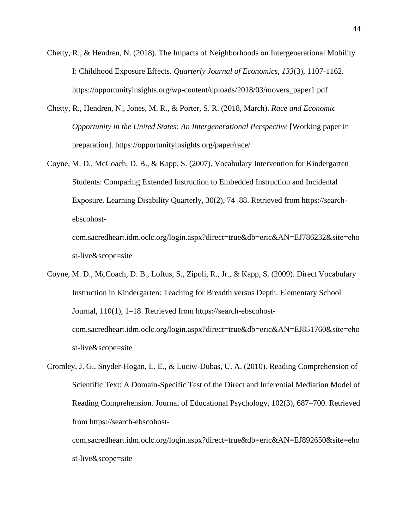- Chetty, R., & Hendren, N. (2018). The Impacts of Neighborhoods on Intergenerational Mobility I: Childhood Exposure Effects. *Quarterly Journal of Economics*, *133*(3), 1107-1162. https://opportunityinsights.org/wp-content/uploads/2018/03/movers\_paper1.pdf
- Chetty, R., Hendren, N., Jones, M. R., & Porter, S. R. (2018, March). *Race and Economic Opportunity in the United States: An Intergenerational Perspective* [Working paper in preparation]. https://opportunityinsights.org/paper/race/
- Coyne, M. D., McCoach, D. B., & Kapp, S. (2007). Vocabulary Intervention for Kindergarten Students: Comparing Extended Instruction to Embedded Instruction and Incidental Exposure. Learning Disability Quarterly, 30(2), 74–88. Retrieved from https://searchebscohost-

com.sacredheart.idm.oclc.org/login.aspx?direct=true&db=eric&AN=EJ786232&site=eho st-live&scope=site

- Coyne, M. D., McCoach, D. B., Loftus, S., Zipoli, R., Jr., & Kapp, S. (2009). Direct Vocabulary Instruction in Kindergarten: Teaching for Breadth versus Depth. Elementary School Journal, 110(1), 1–18. Retrieved from https://search-ebscohostcom.sacredheart.idm.oclc.org/login.aspx?direct=true&db=eric&AN=EJ851760&site=eho st-live&scope=site
- Cromley, J. G., Snyder-Hogan, L. E., & Luciw-Dubas, U. A. (2010). Reading Comprehension of Scientific Text: A Domain-Specific Test of the Direct and Inferential Mediation Model of Reading Comprehension. Journal of Educational Psychology, 102(3), 687–700. Retrieved from https://search-ebscohost-

com.sacredheart.idm.oclc.org/login.aspx?direct=true&db=eric&AN=EJ892650&site=eho st-live&scope=site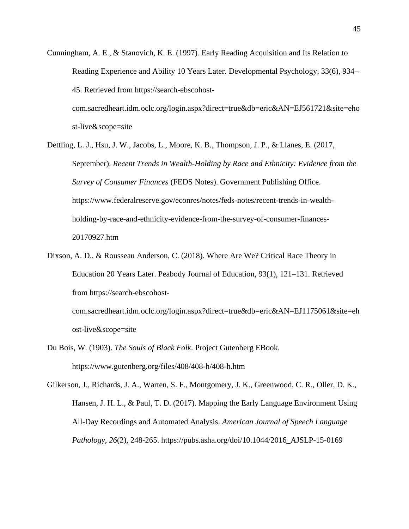Cunningham, A. E., & Stanovich, K. E. (1997). Early Reading Acquisition and Its Relation to Reading Experience and Ability 10 Years Later. Developmental Psychology, 33(6), 934– 45. Retrieved from https://search-ebscohost-

com.sacredheart.idm.oclc.org/login.aspx?direct=true&db=eric&AN=EJ561721&site=eho st-live&scope=site

- Dettling, L. J., Hsu, J. W., Jacobs, L., Moore, K. B., Thompson, J. P., & Llanes, E. (2017, September). *Recent Trends in Wealth-Holding by Race and Ethnicity: Evidence from the Survey of Consumer Finances* (FEDS Notes). Government Publishing Office. https://www.federalreserve.gov/econres/notes/feds-notes/recent-trends-in-wealthholding-by-race-and-ethnicity-evidence-from-the-survey-of-consumer-finances-20170927.htm
- Dixson, A. D., & Rousseau Anderson, C. (2018). Where Are We? Critical Race Theory in Education 20 Years Later. Peabody Journal of Education, 93(1), 121–131. Retrieved from https://search-ebscohostcom.sacredheart.idm.oclc.org/login.aspx?direct=true&db=eric&AN=EJ1175061&site=eh

ost-live&scope=site

- Du Bois, W. (1903). *The Souls of Black Folk*. Project Gutenberg EBook. https://www.gutenberg.org/files/408/408-h/408-h.htm
- Gilkerson, J., Richards, J. A., Warten, S. F., Montgomery, J. K., Greenwood, C. R., Oller, D. K., Hansen, J. H. L., & Paul, T. D. (2017). Mapping the Early Language Environment Using All-Day Recordings and Automated Analysis. *American Journal of Speech Language Pathology*, *26*(2), 248-265. https://pubs.asha.org/doi/10.1044/2016\_AJSLP-15-0169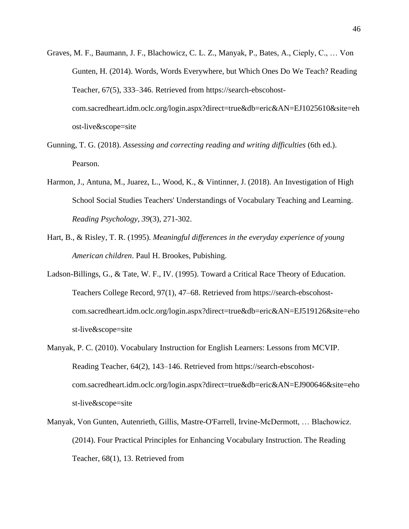- Graves, M. F., Baumann, J. F., Blachowicz, C. L. Z., Manyak, P., Bates, A., Cieply, C., … Von Gunten, H. (2014). Words, Words Everywhere, but Which Ones Do We Teach? Reading Teacher, 67(5), 333–346. Retrieved from https://search-ebscohostcom.sacredheart.idm.oclc.org/login.aspx?direct=true&db=eric&AN=EJ1025610&site=eh ost-live&scope=site
- Gunning, T. G. (2018). *Assessing and correcting reading and writing difficulties* (6th ed.). Pearson.
- Harmon, J., Antuna, M., Juarez, L., Wood, K., & Vintinner, J. (2018). An Investigation of High School Social Studies Teachers' Understandings of Vocabulary Teaching and Learning. *Reading Psychology*, *39*(3), 271-302.
- Hart, B., & Risley, T. R. (1995). *Meaningful differences in the everyday experience of young American children*. Paul H. Brookes, Pubishing.
- Ladson-Billings, G., & Tate, W. F., IV. (1995). Toward a Critical Race Theory of Education. Teachers College Record, 97(1), 47–68. Retrieved from https://search-ebscohostcom.sacredheart.idm.oclc.org/login.aspx?direct=true&db=eric&AN=EJ519126&site=eho st-live&scope=site
- Manyak, P. C. (2010). Vocabulary Instruction for English Learners: Lessons from MCVIP. Reading Teacher, 64(2), 143–146. Retrieved from https://search-ebscohostcom.sacredheart.idm.oclc.org/login.aspx?direct=true&db=eric&AN=EJ900646&site=eho st-live&scope=site
- Manyak, Von Gunten, Autenrieth, Gillis, Mastre-O'Farrell, Irvine-McDermott, … Blachowicz. (2014). Four Practical Principles for Enhancing Vocabulary Instruction. The Reading Teacher, 68(1), 13. Retrieved from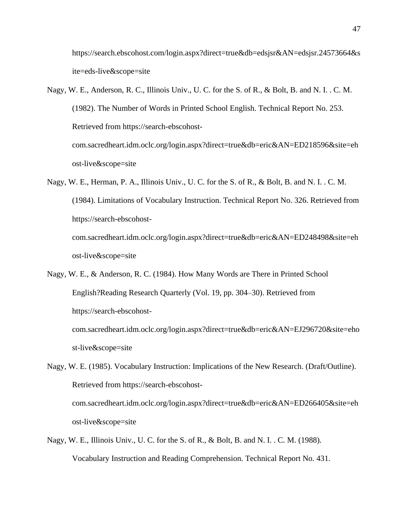https://search.ebscohost.com/login.aspx?direct=true&db=edsjsr&AN=edsjsr.24573664&s ite=eds-live&scope=site

- Nagy, W. E., Anderson, R. C., Illinois Univ., U. C. for the S. of R., & Bolt, B. and N. I. . C. M. (1982). The Number of Words in Printed School English. Technical Report No. 253. Retrieved from https://search-ebscohostcom.sacredheart.idm.oclc.org/login.aspx?direct=true&db=eric&AN=ED218596&site=eh ost-live&scope=site
- Nagy, W. E., Herman, P. A., Illinois Univ., U. C. for the S. of R., & Bolt, B. and N. I. . C. M. (1984). Limitations of Vocabulary Instruction. Technical Report No. 326. Retrieved from https://search-ebscohostcom.sacredheart.idm.oclc.org/login.aspx?direct=true&db=eric&AN=ED248498&site=eh ost-live&scope=site
- Nagy, W. E., & Anderson, R. C. (1984). How Many Words are There in Printed School English?Reading Research Quarterly (Vol. 19, pp. 304–30). Retrieved from https://search-ebscohost-

com.sacredheart.idm.oclc.org/login.aspx?direct=true&db=eric&AN=EJ296720&site=eho st-live&scope=site

- Nagy, W. E. (1985). Vocabulary Instruction: Implications of the New Research. (Draft/Outline). Retrieved from https://search-ebscohostcom.sacredheart.idm.oclc.org/login.aspx?direct=true&db=eric&AN=ED266405&site=eh ost-live&scope=site
- Nagy, W. E., Illinois Univ., U. C. for the S. of R., & Bolt, B. and N. I. . C. M. (1988). Vocabulary Instruction and Reading Comprehension. Technical Report No. 431.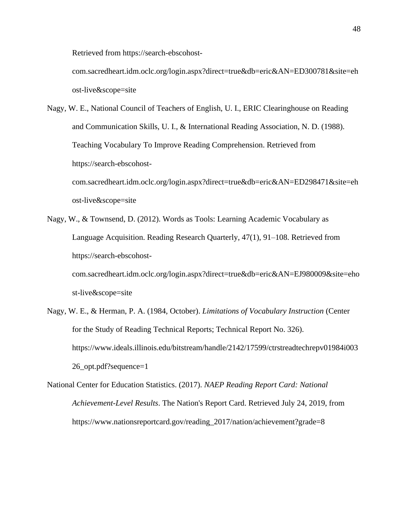Retrieved from https://search-ebscohost-

com.sacredheart.idm.oclc.org/login.aspx?direct=true&db=eric&AN=ED300781&site=eh ost-live&scope=site

Nagy, W. E., National Council of Teachers of English, U. I., ERIC Clearinghouse on Reading and Communication Skills, U. I., & International Reading Association, N. D. (1988). Teaching Vocabulary To Improve Reading Comprehension. Retrieved from https://search-ebscohostcom.sacredheart.idm.oclc.org/login.aspx?direct=true&db=eric&AN=ED298471&site=eh

ost-live&scope=site

Nagy, W., & Townsend, D. (2012). Words as Tools: Learning Academic Vocabulary as Language Acquisition. Reading Research Quarterly, 47(1), 91–108. Retrieved from https://search-ebscohost-

com.sacredheart.idm.oclc.org/login.aspx?direct=true&db=eric&AN=EJ980009&site=eho st-live&scope=site

- Nagy, W. E., & Herman, P. A. (1984, October). *Limitations of Vocabulary Instruction* (Center for the Study of Reading Technical Reports; Technical Report No. 326). https://www.ideals.illinois.edu/bitstream/handle/2142/17599/ctrstreadtechrepv01984i003 26\_opt.pdf?sequence=1
- National Center for Education Statistics. (2017). *NAEP Reading Report Card: National Achievement-Level Results*. The Nation's Report Card. Retrieved July 24, 2019, from https://www.nationsreportcard.gov/reading\_2017/nation/achievement?grade=8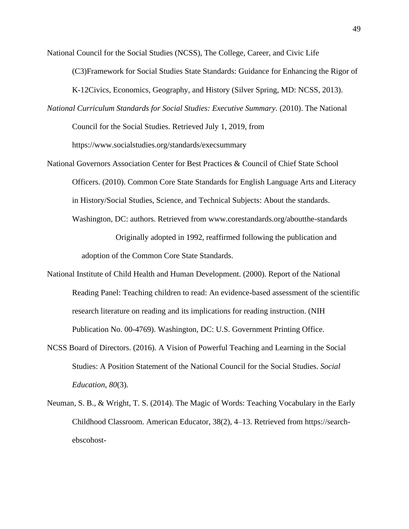National Council for the Social Studies (NCSS), The College, Career, and Civic Life

(C3)Framework for Social Studies State Standards: Guidance for Enhancing the Rigor of

K-12Civics, Economics, Geography, and History (Silver Spring, MD: NCSS, 2013).

*National Curriculum Standards for Social Studies: Executive Summary*. (2010). The National

Council for the Social Studies. Retrieved July 1, 2019, from

https://www.socialstudies.org/standards/execsummary

National Governors Association Center for Best Practices & Council of Chief State School Officers. (2010). Common Core State Standards for English Language Arts and Literacy in History/Social Studies, Science, and Technical Subjects: About the standards. Washington, DC: authors. Retrieved from www.corestandards.org/aboutthe-standards

> Originally adopted in 1992, reaffirmed following the publication and adoption of the Common Core State Standards.

- National Institute of Child Health and Human Development. (2000). Report of the National Reading Panel: Teaching children to read: An evidence-based assessment of the scientific research literature on reading and its implications for reading instruction. (NIH Publication No. 00-4769). Washington, DC: U.S. Government Printing Office.
- NCSS Board of Directors. (2016). A Vision of Powerful Teaching and Learning in the Social Studies: A Position Statement of the National Council for the Social Studies. *Social Education*, *80*(3).
- Neuman, S. B., & Wright, T. S. (2014). The Magic of Words: Teaching Vocabulary in the Early Childhood Classroom. American Educator, 38(2), 4–13. Retrieved from https://searchebscohost-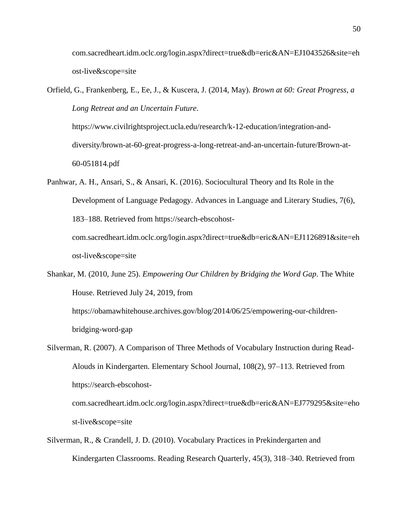com.sacredheart.idm.oclc.org/login.aspx?direct=true&db=eric&AN=EJ1043526&site=eh ost-live&scope=site

Orfield, G., Frankenberg, E., Ee, J., & Kuscera, J. (2014, May). *Brown at 60: Great Progress, a Long Retreat and an Uncertain Future*.

https://www.civilrightsproject.ucla.edu/research/k-12-education/integration-anddiversity/brown-at-60-great-progress-a-long-retreat-and-an-uncertain-future/Brown-at-60-051814.pdf

- Panhwar, A. H., Ansari, S., & Ansari, K. (2016). Sociocultural Theory and Its Role in the Development of Language Pedagogy. Advances in Language and Literary Studies, 7(6), 183–188. Retrieved from https://search-ebscohostcom.sacredheart.idm.oclc.org/login.aspx?direct=true&db=eric&AN=EJ1126891&site=eh ost-live&scope=site
- Shankar, M. (2010, June 25). *Empowering Our Children by Bridging the Word Gap*. The White House. Retrieved July 24, 2019, from https://obamawhitehouse.archives.gov/blog/2014/06/25/empowering-our-children-

bridging-word-gap

- Silverman, R. (2007). A Comparison of Three Methods of Vocabulary Instruction during Read-Alouds in Kindergarten. Elementary School Journal, 108(2), 97–113. Retrieved from https://search-ebscohostcom.sacredheart.idm.oclc.org/login.aspx?direct=true&db=eric&AN=EJ779295&site=eho st-live&scope=site
- Silverman, R., & Crandell, J. D. (2010). Vocabulary Practices in Prekindergarten and Kindergarten Classrooms. Reading Research Quarterly, 45(3), 318–340. Retrieved from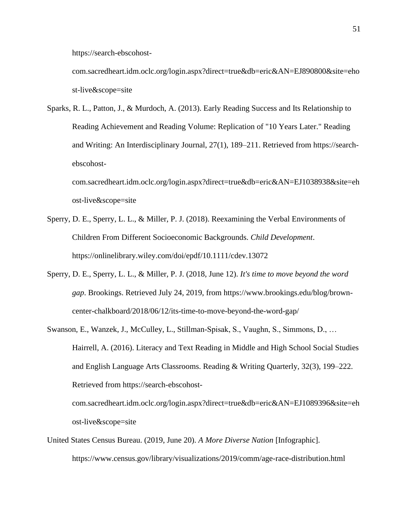https://search-ebscohost-

com.sacredheart.idm.oclc.org/login.aspx?direct=true&db=eric&AN=EJ890800&site=eho st-live&scope=site

Sparks, R. L., Patton, J., & Murdoch, A. (2013). Early Reading Success and Its Relationship to Reading Achievement and Reading Volume: Replication of "10 Years Later." Reading and Writing: An Interdisciplinary Journal, 27(1), 189–211. Retrieved from https://searchebscohost-

com.sacredheart.idm.oclc.org/login.aspx?direct=true&db=eric&AN=EJ1038938&site=eh ost-live&scope=site

- Sperry, D. E., Sperry, L. L., & Miller, P. J. (2018). Reexamining the Verbal Environments of Children From Different Socioeconomic Backgrounds. *Child Development*. https://onlinelibrary.wiley.com/doi/epdf/10.1111/cdev.13072
- Sperry, D. E., Sperry, L. L., & Miller, P. J. (2018, June 12). *It's time to move beyond the word gap*. Brookings. Retrieved July 24, 2019, from https://www.brookings.edu/blog/browncenter-chalkboard/2018/06/12/its-time-to-move-beyond-the-word-gap/
- Swanson, E., Wanzek, J., McCulley, L., Stillman-Spisak, S., Vaughn, S., Simmons, D., … Hairrell, A. (2016). Literacy and Text Reading in Middle and High School Social Studies and English Language Arts Classrooms. Reading & Writing Quarterly, 32(3), 199–222. Retrieved from https://search-ebscohostcom.sacredheart.idm.oclc.org/login.aspx?direct=true&db=eric&AN=EJ1089396&site=eh

ost-live&scope=site

United States Census Bureau. (2019, June 20). *A More Diverse Nation* [Infographic]. https://www.census.gov/library/visualizations/2019/comm/age-race-distribution.html